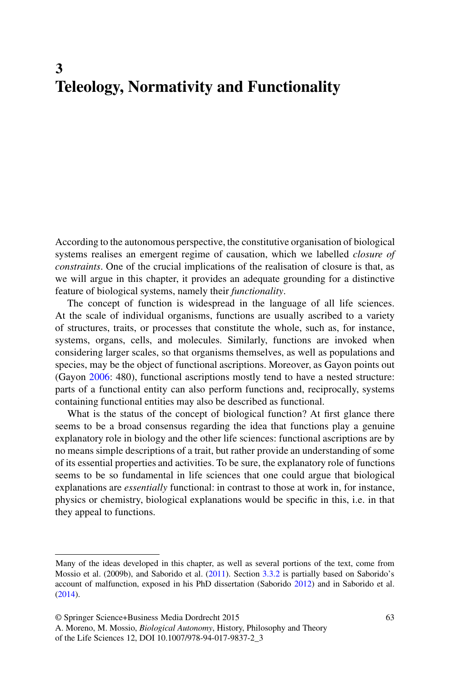# **3 Teleology, Normativity and Functionality**

According to the autonomous perspective, the constitutive organisation of biological systems realises an emergent regime of causation, which we labelled *closure of constraints*. One of the crucial implications of the realisation of closure is that, as we will argue in this chapter, it provides an adequate grounding for a distinctive feature of biological systems, namely their *functionality*.

The concept of function is widespread in the language of all life sciences. At the scale of individual organisms, functions are usually ascribed to a variety of structures, traits, or processes that constitute the whole, such as, for instance, systems, organs, cells, and molecules. Similarly, functions are invoked when considering larger scales, so that organisms themselves, as well as populations and species, may be the object of functional ascriptions. Moreover, as Gayon points out (Gayon 2006: 480), functional ascriptions mostly tend to have a nested structure: parts of a functional entity can also perform functions and, reciprocally, systems containing functional entities may also be described as functional.

What is the status of the concept of biological function? At first glance there seems to be a broad consensus regarding the idea that functions play a genuine explanatory role in biology and the other life sciences: functional ascriptions are by no means simple descriptions of a trait, but rather provide an understanding of some of its essential properties and activities. To be sure, the explanatory role of functions seems to be so fundamental in life sciences that one could argue that biological explanations are *essentially* functional: in contrast to those at work in, for instance, physics or chemistry, biological explanations would be specific in this, i.e. in that they appeal to functions.

Many of the ideas developed in this chapter, as well as several portions of the text, come from Mossio et al. (2009b), and Saborido et al. (2011). Section [3.3.2](#page-18-0) is partially based on Saborido's account of malfunction, exposed in his PhD dissertation (Saborido 2012) and in Saborido et al. (2014).

<sup>©</sup> Springer Science+Business Media Dordrecht 2015

A. Moreno, M. Mossio, *Biological Autonomy*, History, Philosophy and Theory of the Life Sciences 12, DOI 10.1007/978-94-017-9837-2\_3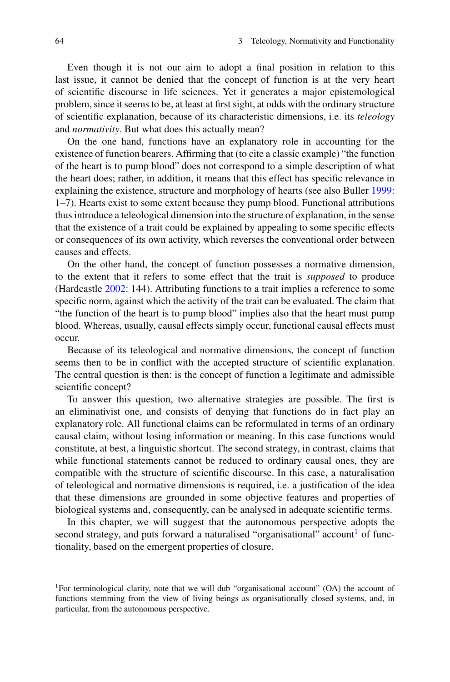Even though it is not our aim to adopt a final position in relation to this last issue, it cannot be denied that the concept of function is at the very heart of scientific discourse in life sciences. Yet it generates a major epistemological problem, since it seems to be, at least at first sight, at odds with the ordinary structure of scientific explanation, because of its characteristic dimensions, i.e. its *teleology* and *normativity*. But what does this actually mean?

On the one hand, functions have an explanatory role in accounting for the existence of function bearers. Affirming that (to cite a classic example) "the function of the heart is to pump blood" does not correspond to a simple description of what the heart does; rather, in addition, it means that this effect has specific relevance in explaining the existence, structure and morphology of hearts (see also Buller 1999: 1–7). Hearts exist to some extent because they pump blood. Functional attributions thus introduce a teleological dimension into the structure of explanation, in the sense that the existence of a trait could be explained by appealing to some specific effects or consequences of its own activity, which reverses the conventional order between causes and effects.

On the other hand, the concept of function possesses a normative dimension, to the extent that it refers to some effect that the trait is *supposed* to produce (Hardcastle 2002: 144). Attributing functions to a trait implies a reference to some specific norm, against which the activity of the trait can be evaluated. The claim that "the function of the heart is to pump blood" implies also that the heart must pump blood. Whereas, usually, causal effects simply occur, functional causal effects must occur.

Because of its teleological and normative dimensions, the concept of function seems then to be in conflict with the accepted structure of scientific explanation. The central question is then: is the concept of function a legitimate and admissible scientific concept?

To answer this question, two alternative strategies are possible. The first is an eliminativist one, and consists of denying that functions do in fact play an explanatory role. All functional claims can be reformulated in terms of an ordinary causal claim, without losing information or meaning. In this case functions would constitute, at best, a linguistic shortcut. The second strategy, in contrast, claims that while functional statements cannot be reduced to ordinary causal ones, they are compatible with the structure of scientific discourse. In this case, a naturalisation of teleological and normative dimensions is required, i.e. a justification of the idea that these dimensions are grounded in some objective features and properties of biological systems and, consequently, can be analysed in adequate scientific terms.

In this chapter, we will suggest that the autonomous perspective adopts the second strategy, and puts forward a naturalised "organisational"  $account<sup>1</sup>$  of functionality, based on the emergent properties of closure.

<sup>1</sup>For terminological clarity, note that we will dub "organisational account" (OA) the account of functions stemming from the view of living beings as organisationally closed systems, and, in particular, from the autonomous perspective.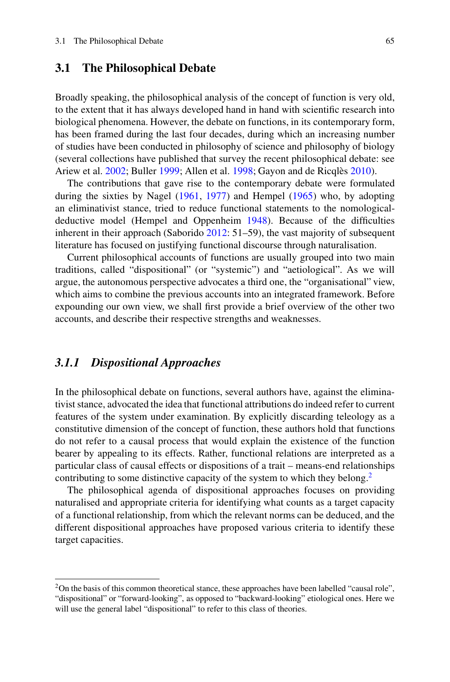### **3.1 The Philosophical Debate**

Broadly speaking, the philosophical analysis of the concept of function is very old, to the extent that it has always developed hand in hand with scientific research into biological phenomena. However, the debate on functions, in its contemporary form, has been framed during the last four decades, during which an increasing number of studies have been conducted in philosophy of science and philosophy of biology (several collections have published that survey the recent philosophical debate: see Ariew et al. 2002; Buller 1999; Allen et al. 1998; Gayon and de Ricqlès 2010).

The contributions that gave rise to the contemporary debate were formulated during the sixties by Nagel (1961, 1977) and Hempel (1965) who, by adopting an eliminativist stance, tried to reduce functional statements to the nomologicaldeductive model (Hempel and Oppenheim 1948). Because of the difficulties inherent in their approach (Saborido 2012: 51–59), the vast majority of subsequent literature has focused on justifying functional discourse through naturalisation.

Current philosophical accounts of functions are usually grouped into two main traditions, called "dispositional" (or "systemic") and "aetiological". As we will argue, the autonomous perspective advocates a third one, the "organisational" view, which aims to combine the previous accounts into an integrated framework. Before expounding our own view, we shall first provide a brief overview of the other two accounts, and describe their respective strengths and weaknesses.

# *3.1.1 Dispositional Approaches*

In the philosophical debate on functions, several authors have, against the eliminativist stance, advocated the idea that functional attributions do indeed refer to current features of the system under examination. By explicitly discarding teleology as a constitutive dimension of the concept of function, these authors hold that functions do not refer to a causal process that would explain the existence of the function bearer by appealing to its effects. Rather, functional relations are interpreted as a particular class of causal effects or dispositions of a trait – means-end relationships contributing to some distinctive capacity of the system to which they belong.<sup>2</sup>

The philosophical agenda of dispositional approaches focuses on providing naturalised and appropriate criteria for identifying what counts as a target capacity of a functional relationship, from which the relevant norms can be deduced, and the different dispositional approaches have proposed various criteria to identify these target capacities.

<sup>&</sup>lt;sup>2</sup>On the basis of this common theoretical stance, these approaches have been labelled "causal role", "dispositional" or "forward-looking", as opposed to "backward-looking" etiological ones. Here we will use the general label "dispositional" to refer to this class of theories.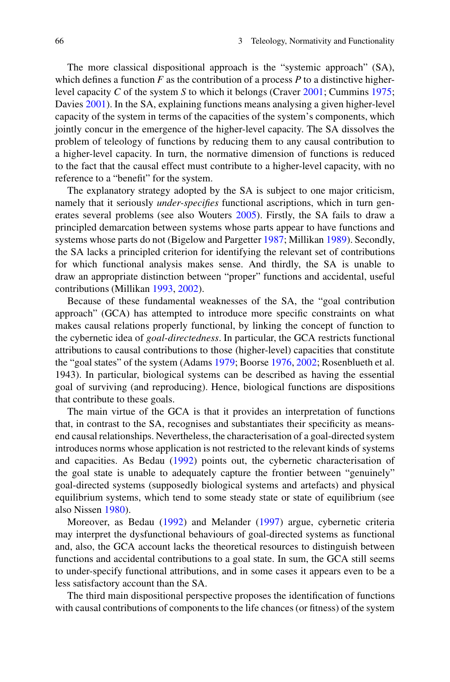The more classical dispositional approach is the "systemic approach" (SA), which defines a function  $F$  as the contribution of a process  $P$  to a distinctive higherlevel capacity *C* of the system *S* to which it belongs (Craver 2001; Cummins 1975; Davies 2001). In the SA, explaining functions means analysing a given higher-level capacity of the system in terms of the capacities of the system's components, which jointly concur in the emergence of the higher-level capacity. The SA dissolves the problem of teleology of functions by reducing them to any causal contribution to a higher-level capacity. In turn, the normative dimension of functions is reduced to the fact that the causal effect must contribute to a higher-level capacity, with no reference to a "benefit" for the system.

The explanatory strategy adopted by the SA is subject to one major criticism, namely that it seriously *under-specifies* functional ascriptions, which in turn generates several problems (see also Wouters 2005). Firstly, the SA fails to draw a principled demarcation between systems whose parts appear to have functions and systems whose parts do not (Bigelow and Pargetter 1987; Millikan 1989). Secondly, the SA lacks a principled criterion for identifying the relevant set of contributions for which functional analysis makes sense. And thirdly, the SA is unable to draw an appropriate distinction between "proper" functions and accidental, useful contributions (Millikan 1993, 2002).

Because of these fundamental weaknesses of the SA, the "goal contribution approach" (GCA) has attempted to introduce more specific constraints on what makes causal relations properly functional, by linking the concept of function to the cybernetic idea of *goal-directedness*. In particular, the GCA restricts functional attributions to causal contributions to those (higher-level) capacities that constitute the "goal states" of the system (Adams 1979; Boorse 1976, 2002; Rosenblueth et al. 1943). In particular, biological systems can be described as having the essential goal of surviving (and reproducing). Hence, biological functions are dispositions that contribute to these goals.

The main virtue of the GCA is that it provides an interpretation of functions that, in contrast to the SA, recognises and substantiates their specificity as meansend causal relationships. Nevertheless, the characterisation of a goal-directed system introduces norms whose application is not restricted to the relevant kinds of systems and capacities. As Bedau (1992) points out, the cybernetic characterisation of the goal state is unable to adequately capture the frontier between "genuinely" goal-directed systems (supposedly biological systems and artefacts) and physical equilibrium systems, which tend to some steady state or state of equilibrium (see also Nissen 1980).

Moreover, as Bedau (1992) and Melander (1997) argue, cybernetic criteria may interpret the dysfunctional behaviours of goal-directed systems as functional and, also, the GCA account lacks the theoretical resources to distinguish between functions and accidental contributions to a goal state. In sum, the GCA still seems to under-specify functional attributions, and in some cases it appears even to be a less satisfactory account than the SA.

The third main dispositional perspective proposes the identification of functions with causal contributions of components to the life chances (or fitness) of the system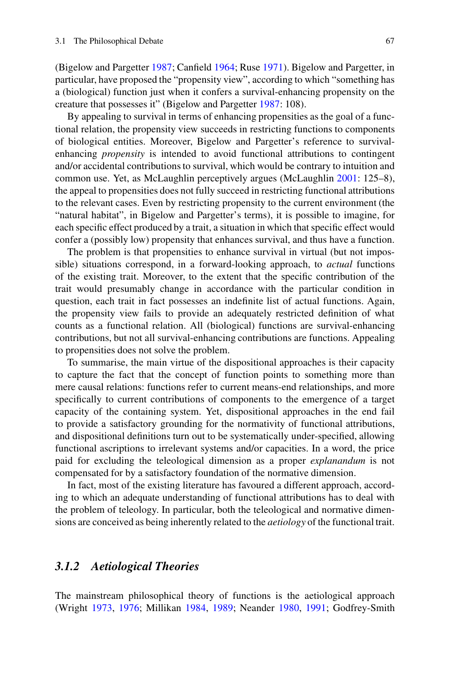<span id="page-4-0"></span>(Bigelow and Pargetter 1987; Canfield 1964; Ruse 1971). Bigelow and Pargetter, in particular, have proposed the "propensity view", according to which "something has a (biological) function just when it confers a survival-enhancing propensity on the creature that possesses it" (Bigelow and Pargetter 1987: 108).

By appealing to survival in terms of enhancing propensities as the goal of a functional relation, the propensity view succeeds in restricting functions to components of biological entities. Moreover, Bigelow and Pargetter's reference to survivalenhancing *propensity* is intended to avoid functional attributions to contingent and/or accidental contributions to survival, which would be contrary to intuition and common use. Yet, as McLaughlin perceptively argues (McLaughlin 2001: 125–8), the appeal to propensities does not fully succeed in restricting functional attributions to the relevant cases. Even by restricting propensity to the current environment (the "natural habitat", in Bigelow and Pargetter's terms), it is possible to imagine, for each specific effect produced by a trait, a situation in which that specific effect would confer a (possibly low) propensity that enhances survival, and thus have a function.

The problem is that propensities to enhance survival in virtual (but not impossible) situations correspond, in a forward-looking approach, to *actual* functions of the existing trait. Moreover, to the extent that the specific contribution of the trait would presumably change in accordance with the particular condition in question, each trait in fact possesses an indefinite list of actual functions. Again, the propensity view fails to provide an adequately restricted definition of what counts as a functional relation. All (biological) functions are survival-enhancing contributions, but not all survival-enhancing contributions are functions. Appealing to propensities does not solve the problem.

To summarise, the main virtue of the dispositional approaches is their capacity to capture the fact that the concept of function points to something more than mere causal relations: functions refer to current means-end relationships, and more specifically to current contributions of components to the emergence of a target capacity of the containing system. Yet, dispositional approaches in the end fail to provide a satisfactory grounding for the normativity of functional attributions, and dispositional definitions turn out to be systematically under-specified, allowing functional ascriptions to irrelevant systems and/or capacities. In a word, the price paid for excluding the teleological dimension as a proper *explanandum* is not compensated for by a satisfactory foundation of the normative dimension.

In fact, most of the existing literature has favoured a different approach, according to which an adequate understanding of functional attributions has to deal with the problem of teleology. In particular, both the teleological and normative dimensions are conceived as being inherently related to the *aetiology* of the functional trait.

#### *3.1.2 Aetiological Theories*

The mainstream philosophical theory of functions is the aetiological approach (Wright 1973, 1976; Millikan 1984, 1989; Neander 1980, 1991; Godfrey-Smith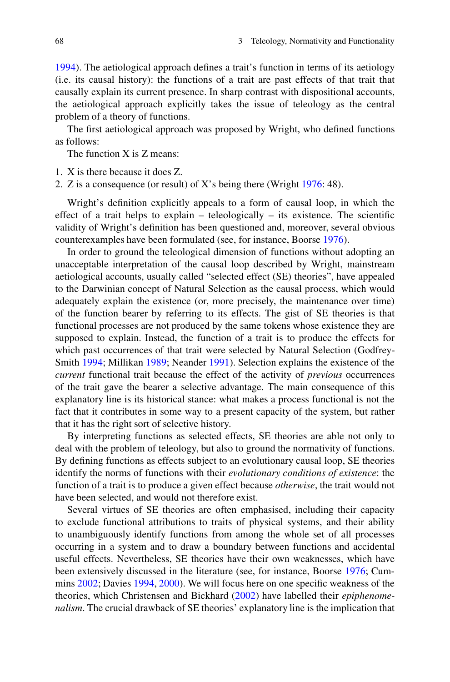1994). The aetiological approach defines a trait's function in terms of its aetiology (i.e. its causal history): the functions of a trait are past effects of that trait that causally explain its current presence. In sharp contrast with dispositional accounts, the aetiological approach explicitly takes the issue of teleology as the central problem of a theory of functions.

The first aetiological approach was proposed by Wright, who defined functions as follows:

The function X is Z means:

1. X is there because it does Z.

2. Z is a consequence (or result) of X's being there (Wright 1976: 48).

Wright's definition explicitly appeals to a form of causal loop, in which the effect of a trait helps to explain – teleologically – its existence. The scientific validity of Wright's definition has been questioned and, moreover, several obvious counterexamples have been formulated (see, for instance, Boorse 1976).

In order to ground the teleological dimension of functions without adopting an unacceptable interpretation of the causal loop described by Wright, mainstream aetiological accounts, usually called "selected effect (SE) theories", have appealed to the Darwinian concept of Natural Selection as the causal process, which would adequately explain the existence (or, more precisely, the maintenance over time) of the function bearer by referring to its effects. The gist of SE theories is that functional processes are not produced by the same tokens whose existence they are supposed to explain. Instead, the function of a trait is to produce the effects for which past occurrences of that trait were selected by Natural Selection (Godfrey-Smith 1994; Millikan 1989; Neander 1991). Selection explains the existence of the *current* functional trait because the effect of the activity of *previous* occurrences of the trait gave the bearer a selective advantage. The main consequence of this explanatory line is its historical stance: what makes a process functional is not the fact that it contributes in some way to a present capacity of the system, but rather that it has the right sort of selective history.

By interpreting functions as selected effects, SE theories are able not only to deal with the problem of teleology, but also to ground the normativity of functions. By defining functions as effects subject to an evolutionary causal loop, SE theories identify the norms of functions with their *evolutionary conditions of existence*: the function of a trait is to produce a given effect because *otherwise*, the trait would not have been selected, and would not therefore exist.

Several virtues of SE theories are often emphasised, including their capacity to exclude functional attributions to traits of physical systems, and their ability to unambiguously identify functions from among the whole set of all processes occurring in a system and to draw a boundary between functions and accidental useful effects. Nevertheless, SE theories have their own weaknesses, which have been extensively discussed in the literature (see, for instance, Boorse 1976; Cummins 2002; Davies 1994, 2000). We will focus here on one specific weakness of the theories, which Christensen and Bickhard (2002) have labelled their *epiphenomenalism*. The crucial drawback of SE theories' explanatory line is the implication that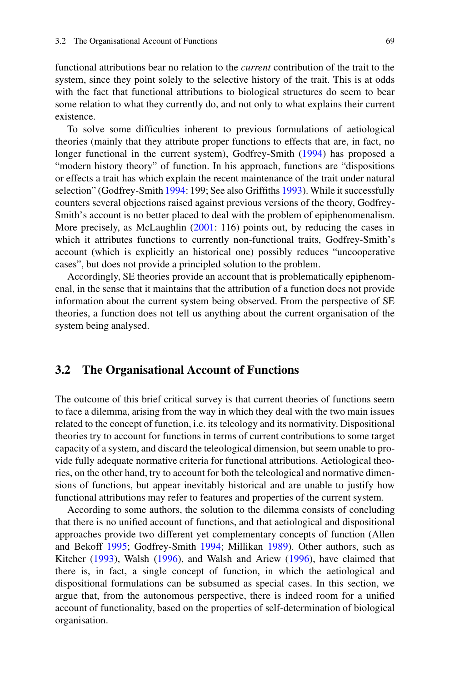functional attributions bear no relation to the *current* contribution of the trait to the system, since they point solely to the selective history of the trait. This is at odds with the fact that functional attributions to biological structures do seem to bear some relation to what they currently do, and not only to what explains their current existence.

To solve some difficulties inherent to previous formulations of aetiological theories (mainly that they attribute proper functions to effects that are, in fact, no longer functional in the current system), Godfrey-Smith (1994) has proposed a "modern history theory" of function. In his approach, functions are "dispositions or effects a trait has which explain the recent maintenance of the trait under natural selection" (Godfrey-Smith 1994: 199; See also Griffiths 1993). While it successfully counters several objections raised against previous versions of the theory, Godfrey-Smith's account is no better placed to deal with the problem of epiphenomenalism. More precisely, as McLaughlin (2001: 116) points out, by reducing the cases in which it attributes functions to currently non-functional traits, Godfrey-Smith's account (which is explicitly an historical one) possibly reduces "uncooperative cases", but does not provide a principled solution to the problem.

Accordingly, SE theories provide an account that is problematically epiphenomenal, in the sense that it maintains that the attribution of a function does not provide information about the current system being observed. From the perspective of SE theories, a function does not tell us anything about the current organisation of the system being analysed.

## **3.2 The Organisational Account of Functions**

The outcome of this brief critical survey is that current theories of functions seem to face a dilemma, arising from the way in which they deal with the two main issues related to the concept of function, i.e. its teleology and its normativity. Dispositional theories try to account for functions in terms of current contributions to some target capacity of a system, and discard the teleological dimension, but seem unable to provide fully adequate normative criteria for functional attributions. Aetiological theories, on the other hand, try to account for both the teleological and normative dimensions of functions, but appear inevitably historical and are unable to justify how functional attributions may refer to features and properties of the current system.

According to some authors, the solution to the dilemma consists of concluding that there is no unified account of functions, and that aetiological and dispositional approaches provide two different yet complementary concepts of function (Allen and Bekoff 1995; Godfrey-Smith 1994; Millikan 1989). Other authors, such as Kitcher (1993), Walsh (1996), and Walsh and Ariew (1996), have claimed that there is, in fact, a single concept of function, in which the aetiological and dispositional formulations can be subsumed as special cases. In this section, we argue that, from the autonomous perspective, there is indeed room for a unified account of functionality, based on the properties of self-determination of biological organisation.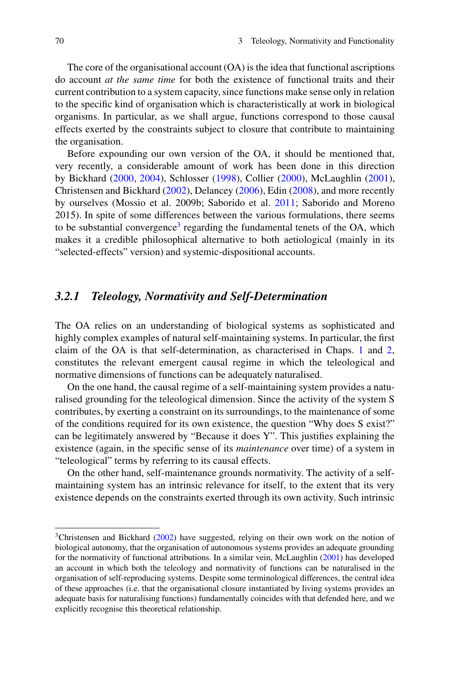The core of the organisational account (OA) is the idea that functional ascriptions do account *at the same time* for both the existence of functional traits and their current contribution to a system capacity, since functions make sense only in relation to the specific kind of organisation which is characteristically at work in biological organisms. In particular, as we shall argue, functions correspond to those causal effects exerted by the constraints subject to closure that contribute to maintaining the organisation.

Before expounding our own version of the OA, it should be mentioned that, very recently, a considerable amount of work has been done in this direction by Bickhard (2000, 2004), Schlosser (1998), Collier (2000), McLaughlin (2001), Christensen and Bickhard (2002), Delancey (2006), Edin (2008), and more recently by ourselves (Mossio et al. 2009b; Saborido et al. 2011; Saborido and Moreno 2015). In spite of some differences between the various formulations, there seems to be substantial convergence<sup>3</sup> regarding the fundamental tenets of the OA, which makes it a credible philosophical alternative to both aetiological (mainly in its "selected-effects" version) and systemic-dispositional accounts.

# *3.2.1 Teleology, Normativity and Self-Determination*

The OA relies on an understanding of biological systems as sophisticated and highly complex examples of natural self-maintaining systems. In particular, the first claim of the OA is that self-determination, as characterised in Chaps. [1](http://dx.doi.org/10.1007/978-94-017-9837-2_1) and [2,](http://dx.doi.org/10.1007/978-94-017-9837-2_2) constitutes the relevant emergent causal regime in which the teleological and normative dimensions of functions can be adequately naturalised.

On the one hand, the causal regime of a self-maintaining system provides a naturalised grounding for the teleological dimension. Since the activity of the system S contributes, by exerting a constraint on its surroundings, to the maintenance of some of the conditions required for its own existence, the question "Why does S exist?" can be legitimately answered by "Because it does Y". This justifies explaining the existence (again, in the specific sense of its *maintenance* over time) of a system in "teleological" terms by referring to its causal effects.

On the other hand, self-maintenance grounds normativity. The activity of a selfmaintaining system has an intrinsic relevance for itself, to the extent that its very existence depends on the constraints exerted through its own activity. Such intrinsic

<sup>3</sup>Christensen and Bickhard (2002) have suggested, relying on their own work on the notion of biological autonomy, that the organisation of autonomous systems provides an adequate grounding for the normativity of functional attributions. In a similar vein, McLaughlin (2001) has developed an account in which both the teleology and normativity of functions can be naturalised in the organisation of self-reproducing systems. Despite some terminological differences, the central idea of these approaches (i.e. that the organisational closure instantiated by living systems provides an adequate basis for naturalising functions) fundamentally coincides with that defended here, and we explicitly recognise this theoretical relationship.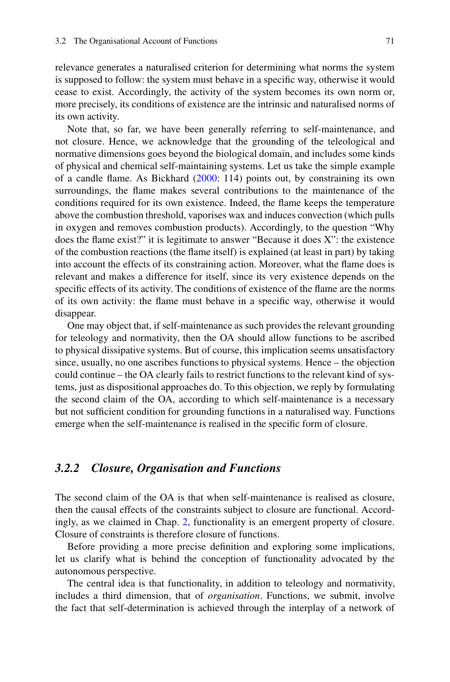relevance generates a naturalised criterion for determining what norms the system is supposed to follow: the system must behave in a specific way, otherwise it would cease to exist. Accordingly, the activity of the system becomes its own norm or, more precisely, its conditions of existence are the intrinsic and naturalised norms of its own activity.

Note that, so far, we have been generally referring to self-maintenance, and not closure. Hence, we acknowledge that the grounding of the teleological and normative dimensions goes beyond the biological domain, and includes some kinds of physical and chemical self-maintaining systems. Let us take the simple example of a candle flame. As Bickhard (2000: 114) points out, by constraining its own surroundings, the flame makes several contributions to the maintenance of the conditions required for its own existence. Indeed, the flame keeps the temperature above the combustion threshold, vaporises wax and induces convection (which pulls in oxygen and removes combustion products). Accordingly, to the question "Why does the flame exist?" it is legitimate to answer "Because it does X": the existence of the combustion reactions (the flame itself) is explained (at least in part) by taking into account the effects of its constraining action. Moreover, what the flame does is relevant and makes a difference for itself, since its very existence depends on the specific effects of its activity. The conditions of existence of the flame are the norms of its own activity: the flame must behave in a specific way, otherwise it would disappear.

One may object that, if self-maintenance as such provides the relevant grounding for teleology and normativity, then the OA should allow functions to be ascribed to physical dissipative systems. But of course, this implication seems unsatisfactory since, usually, no one ascribes functions to physical systems. Hence – the objection could continue – the OA clearly fails to restrict functions to the relevant kind of systems, just as dispositional approaches do. To this objection, we reply by formulating the second claim of the OA, according to which self-maintenance is a necessary but not sufficient condition for grounding functions in a naturalised way. Functions emerge when the self-maintenance is realised in the specific form of closure.

#### *3.2.2 Closure, Organisation and Functions*

The second claim of the OA is that when self-maintenance is realised as closure, then the causal effects of the constraints subject to closure are functional. Accordingly, as we claimed in Chap. [2,](http://dx.doi.org/10.1007/978-94-017-9837-2_2) functionality is an emergent property of closure. Closure of constraints is therefore closure of functions.

Before providing a more precise definition and exploring some implications, let us clarify what is behind the conception of functionality advocated by the autonomous perspective.

The central idea is that functionality, in addition to teleology and normativity, includes a third dimension, that of *organisation*. Functions, we submit, involve the fact that self-determination is achieved through the interplay of a network of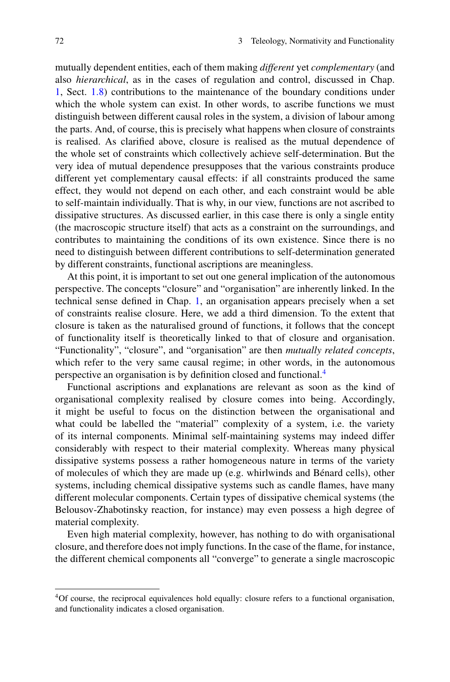mutually dependent entities, each of them making *different* yet *complementary* (and also *hierarchical*, as in the cases of regulation and control, discussed in Chap. [1,](http://dx.doi.org/10.1007/978-94-017-9837-2_1) Sect. [1.8\)](http://dx.doi.org/10.1007/978-94-017-9837-2_1) contributions to the maintenance of the boundary conditions under which the whole system can exist. In other words, to ascribe functions we must distinguish between different causal roles in the system, a division of labour among the parts. And, of course, this is precisely what happens when closure of constraints is realised. As clarified above, closure is realised as the mutual dependence of the whole set of constraints which collectively achieve self-determination. But the very idea of mutual dependence presupposes that the various constraints produce different yet complementary causal effects: if all constraints produced the same effect, they would not depend on each other, and each constraint would be able to self-maintain individually. That is why, in our view, functions are not ascribed to dissipative structures. As discussed earlier, in this case there is only a single entity (the macroscopic structure itself) that acts as a constraint on the surroundings, and contributes to maintaining the conditions of its own existence. Since there is no need to distinguish between different contributions to self-determination generated by different constraints, functional ascriptions are meaningless.

At this point, it is important to set out one general implication of the autonomous perspective. The concepts "closure" and "organisation" are inherently linked. In the technical sense defined in Chap. [1,](http://dx.doi.org/10.1007/978-94-017-9837-2_1) an organisation appears precisely when a set of constraints realise closure. Here, we add a third dimension. To the extent that closure is taken as the naturalised ground of functions, it follows that the concept of functionality itself is theoretically linked to that of closure and organisation. "Functionality", "closure", and "organisation" are then *mutually related concepts*, which refer to the very same causal regime; in other words, in the autonomous perspective an organisation is by definition closed and functional.<sup>4</sup>

Functional ascriptions and explanations are relevant as soon as the kind of organisational complexity realised by closure comes into being. Accordingly, it might be useful to focus on the distinction between the organisational and what could be labelled the "material" complexity of a system, i.e. the variety of its internal components. Minimal self-maintaining systems may indeed differ considerably with respect to their material complexity. Whereas many physical dissipative systems possess a rather homogeneous nature in terms of the variety of molecules of which they are made up (e.g. whirlwinds and Bénard cells), other systems, including chemical dissipative systems such as candle flames, have many different molecular components. Certain types of dissipative chemical systems (the Belousov-Zhabotinsky reaction, for instance) may even possess a high degree of material complexity.

Even high material complexity, however, has nothing to do with organisational closure, and therefore does not imply functions. In the case of the flame, for instance, the different chemical components all "converge" to generate a single macroscopic

<sup>4</sup>Of course, the reciprocal equivalences hold equally: closure refers to a functional organisation, and functionality indicates a closed organisation.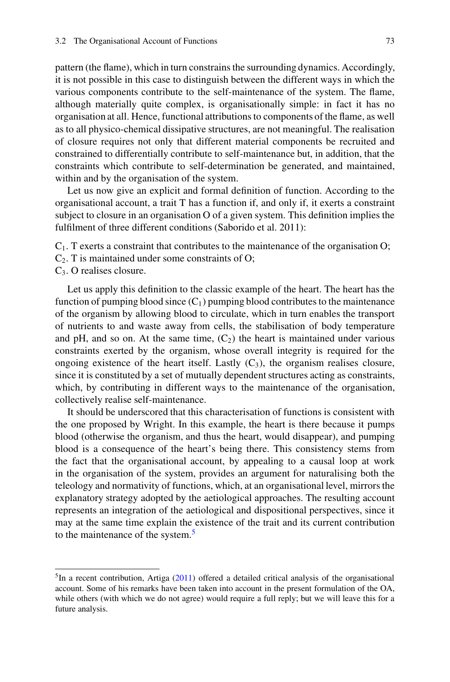pattern (the flame), which in turn constrains the surrounding dynamics. Accordingly, it is not possible in this case to distinguish between the different ways in which the various components contribute to the self-maintenance of the system. The flame, although materially quite complex, is organisationally simple: in fact it has no organisation at all. Hence, functional attributions to components of the flame, as well as to all physico-chemical dissipative structures, are not meaningful. The realisation of closure requires not only that different material components be recruited and constrained to differentially contribute to self-maintenance but, in addition, that the constraints which contribute to self-determination be generated, and maintained, within and by the organisation of the system.

Let us now give an explicit and formal definition of function. According to the organisational account, a trait T has a function if, and only if, it exerts a constraint subject to closure in an organisation O of a given system. This definition implies the fulfilment of three different conditions (Saborido et al. 2011):

 $C_1$ . T exerts a constraint that contributes to the maintenance of the organisation O;

- C2. T is maintained under some constraints of O;
- C3. O realises closure.

Let us apply this definition to the classic example of the heart. The heart has the function of pumping blood since  $(C_1)$  pumping blood contributes to the maintenance of the organism by allowing blood to circulate, which in turn enables the transport of nutrients to and waste away from cells, the stabilisation of body temperature and pH, and so on. At the same time,  $(C_2)$  the heart is maintained under various constraints exerted by the organism, whose overall integrity is required for the ongoing existence of the heart itself. Lastly  $(C_3)$ , the organism realises closure, since it is constituted by a set of mutually dependent structures acting as constraints, which, by contributing in different ways to the maintenance of the organisation, collectively realise self-maintenance.

It should be underscored that this characterisation of functions is consistent with the one proposed by Wright. In this example, the heart is there because it pumps blood (otherwise the organism, and thus the heart, would disappear), and pumping blood is a consequence of the heart's being there. This consistency stems from the fact that the organisational account, by appealing to a causal loop at work in the organisation of the system, provides an argument for naturalising both the teleology and normativity of functions, which, at an organisational level, mirrors the explanatory strategy adopted by the aetiological approaches. The resulting account represents an integration of the aetiological and dispositional perspectives, since it may at the same time explain the existence of the trait and its current contribution to the maintenance of the system.<sup>5</sup>

 $<sup>5</sup>$ In a recent contribution, Artiga (2011) offered a detailed critical analysis of the organisational</sup> account. Some of his remarks have been taken into account in the present formulation of the OA, while others (with which we do not agree) would require a full reply; but we will leave this for a future analysis.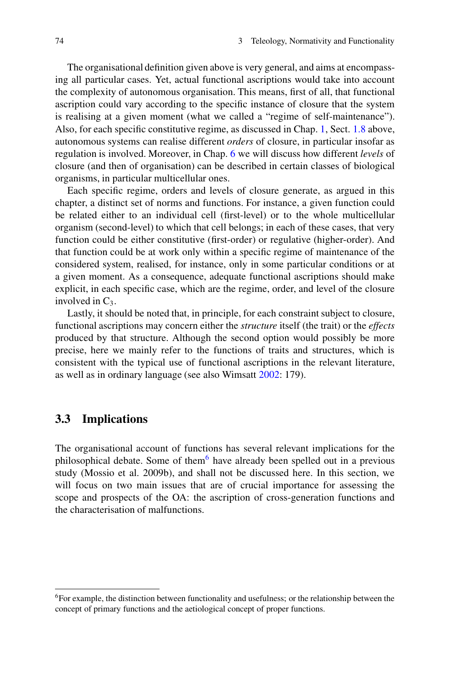The organisational definition given above is very general, and aims at encompassing all particular cases. Yet, actual functional ascriptions would take into account the complexity of autonomous organisation. This means, first of all, that functional ascription could vary according to the specific instance of closure that the system is realising at a given moment (what we called a "regime of self-maintenance"). Also, for each specific constitutive regime, as discussed in Chap. [1,](http://dx.doi.org/10.1007/978-94-017-9837-2_1) Sect. [1.8](http://dx.doi.org/10.1007/978-94-017-9837-2_1) above, autonomous systems can realise different *orders* of closure, in particular insofar as regulation is involved. Moreover, in Chap. [6](http://dx.doi.org/10.1007/978-94-017-9837-2_6) we will discuss how different *levels* of closure (and then of organisation) can be described in certain classes of biological organisms, in particular multicellular ones.

Each specific regime, orders and levels of closure generate, as argued in this chapter, a distinct set of norms and functions. For instance, a given function could be related either to an individual cell (first-level) or to the whole multicellular organism (second-level) to which that cell belongs; in each of these cases, that very function could be either constitutive (first-order) or regulative (higher-order). And that function could be at work only within a specific regime of maintenance of the considered system, realised, for instance, only in some particular conditions or at a given moment. As a consequence, adequate functional ascriptions should make explicit, in each specific case, which are the regime, order, and level of the closure involved in  $C_3$ .

Lastly, it should be noted that, in principle, for each constraint subject to closure, functional ascriptions may concern either the *structure* itself (the trait) or the *effects* produced by that structure. Although the second option would possibly be more precise, here we mainly refer to the functions of traits and structures, which is consistent with the typical use of functional ascriptions in the relevant literature, as well as in ordinary language (see also Wimsatt 2002: 179).

# **3.3 Implications**

The organisational account of functions has several relevant implications for the philosophical debate. Some of them<sup>6</sup> have already been spelled out in a previous study (Mossio et al. 2009b), and shall not be discussed here. In this section, we will focus on two main issues that are of crucial importance for assessing the scope and prospects of the OA: the ascription of cross-generation functions and the characterisation of malfunctions.

<sup>6</sup>For example, the distinction between functionality and usefulness; or the relationship between the concept of primary functions and the aetiological concept of proper functions.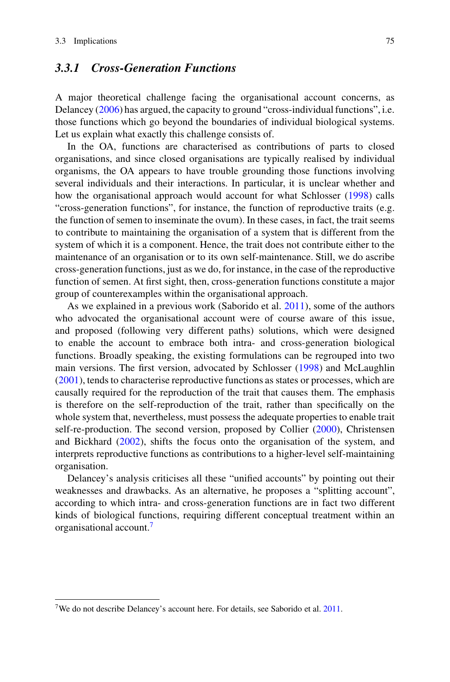## *3.3.1 Cross-Generation Functions*

A major theoretical challenge facing the organisational account concerns, as Delancey (2006) has argued, the capacity to ground "cross-individual functions", i.e. those functions which go beyond the boundaries of individual biological systems. Let us explain what exactly this challenge consists of.

In the OA, functions are characterised as contributions of parts to closed organisations, and since closed organisations are typically realised by individual organisms, the OA appears to have trouble grounding those functions involving several individuals and their interactions. In particular, it is unclear whether and how the organisational approach would account for what Schlosser (1998) calls "cross-generation functions", for instance, the function of reproductive traits (e.g. the function of semen to inseminate the ovum). In these cases, in fact, the trait seems to contribute to maintaining the organisation of a system that is different from the system of which it is a component. Hence, the trait does not contribute either to the maintenance of an organisation or to its own self-maintenance. Still, we do ascribe cross-generation functions, just as we do, for instance, in the case of the reproductive function of semen. At first sight, then, cross-generation functions constitute a major group of counterexamples within the organisational approach.

As we explained in a previous work (Saborido et al. 2011), some of the authors who advocated the organisational account were of course aware of this issue, and proposed (following very different paths) solutions, which were designed to enable the account to embrace both intra- and cross-generation biological functions. Broadly speaking, the existing formulations can be regrouped into two main versions. The first version, advocated by Schlosser (1998) and McLaughlin (2001), tends to characterise reproductive functions as states or processes, which are causally required for the reproduction of the trait that causes them. The emphasis is therefore on the self-reproduction of the trait, rather than specifically on the whole system that, nevertheless, must possess the adequate properties to enable trait self-re-production. The second version, proposed by Collier (2000), Christensen and Bickhard (2002), shifts the focus onto the organisation of the system, and interprets reproductive functions as contributions to a higher-level self-maintaining organisation.

Delancey's analysis criticises all these "unified accounts" by pointing out their weaknesses and drawbacks. As an alternative, he proposes a "splitting account", according to which intra- and cross-generation functions are in fact two different kinds of biological functions, requiring different conceptual treatment within an organisational account.7

<sup>7</sup>We do not describe Delancey's account here. For details, see Saborido et al. 2011.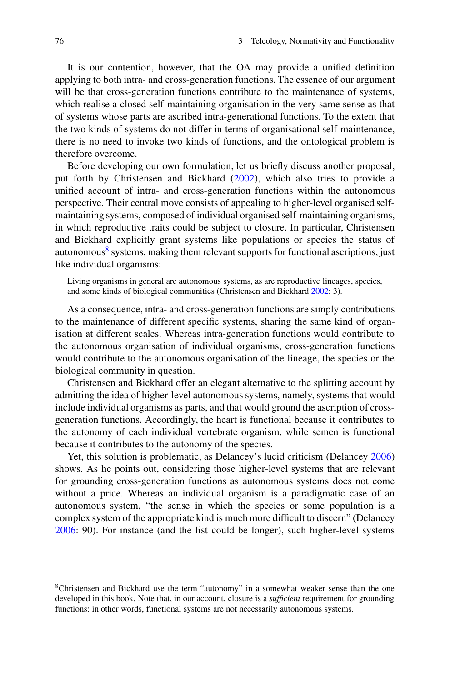It is our contention, however, that the OA may provide a unified definition applying to both intra- and cross-generation functions. The essence of our argument will be that cross-generation functions contribute to the maintenance of systems, which realise a closed self-maintaining organisation in the very same sense as that of systems whose parts are ascribed intra-generational functions. To the extent that the two kinds of systems do not differ in terms of organisational self-maintenance, there is no need to invoke two kinds of functions, and the ontological problem is therefore overcome.

Before developing our own formulation, let us briefly discuss another proposal, put forth by Christensen and Bickhard (2002), which also tries to provide a unified account of intra- and cross-generation functions within the autonomous perspective. Their central move consists of appealing to higher-level organised selfmaintaining systems, composed of individual organised self-maintaining organisms, in which reproductive traits could be subject to closure. In particular, Christensen and Bickhard explicitly grant systems like populations or species the status of autonomous<sup>8</sup> systems, making them relevant supports for functional ascriptions, just like individual organisms:

Living organisms in general are autonomous systems, as are reproductive lineages, species, and some kinds of biological communities (Christensen and Bickhard 2002: 3).

As a consequence, intra- and cross-generation functions are simply contributions to the maintenance of different specific systems, sharing the same kind of organisation at different scales. Whereas intra-generation functions would contribute to the autonomous organisation of individual organisms, cross-generation functions would contribute to the autonomous organisation of the lineage, the species or the biological community in question.

Christensen and Bickhard offer an elegant alternative to the splitting account by admitting the idea of higher-level autonomous systems, namely, systems that would include individual organisms as parts, and that would ground the ascription of crossgeneration functions. Accordingly, the heart is functional because it contributes to the autonomy of each individual vertebrate organism, while semen is functional because it contributes to the autonomy of the species.

Yet, this solution is problematic, as Delancey's lucid criticism (Delancey 2006) shows. As he points out, considering those higher-level systems that are relevant for grounding cross-generation functions as autonomous systems does not come without a price. Whereas an individual organism is a paradigmatic case of an autonomous system, "the sense in which the species or some population is a complex system of the appropriate kind is much more difficult to discern" (Delancey 2006: 90). For instance (and the list could be longer), such higher-level systems

<sup>8</sup>Christensen and Bickhard use the term "autonomy" in a somewhat weaker sense than the one developed in this book. Note that, in our account, closure is a *sufficient* requirement for grounding functions: in other words, functional systems are not necessarily autonomous systems.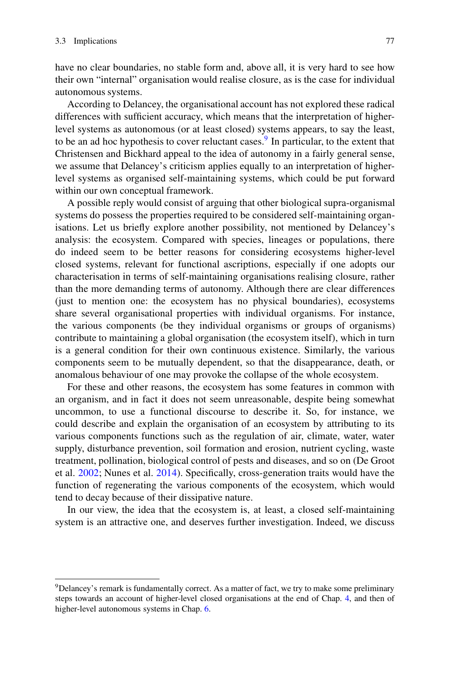have no clear boundaries, no stable form and, above all, it is very hard to see how their own "internal" organisation would realise closure, as is the case for individual autonomous systems.

According to Delancey, the organisational account has not explored these radical differences with sufficient accuracy, which means that the interpretation of higherlevel systems as autonomous (or at least closed) systems appears, to say the least, to be an ad hoc hypothesis to cover reluctant cases.<sup>9</sup> In particular, to the extent that Christensen and Bickhard appeal to the idea of autonomy in a fairly general sense, we assume that Delancey's criticism applies equally to an interpretation of higherlevel systems as organised self-maintaining systems, which could be put forward within our own conceptual framework.

A possible reply would consist of arguing that other biological supra-organismal systems do possess the properties required to be considered self-maintaining organisations. Let us briefly explore another possibility, not mentioned by Delancey's analysis: the ecosystem. Compared with species, lineages or populations, there do indeed seem to be better reasons for considering ecosystems higher-level closed systems, relevant for functional ascriptions, especially if one adopts our characterisation in terms of self-maintaining organisations realising closure, rather than the more demanding terms of autonomy. Although there are clear differences (just to mention one: the ecosystem has no physical boundaries), ecosystems share several organisational properties with individual organisms. For instance, the various components (be they individual organisms or groups of organisms) contribute to maintaining a global organisation (the ecosystem itself), which in turn is a general condition for their own continuous existence. Similarly, the various components seem to be mutually dependent, so that the disappearance, death, or anomalous behaviour of one may provoke the collapse of the whole ecosystem.

For these and other reasons, the ecosystem has some features in common with an organism, and in fact it does not seem unreasonable, despite being somewhat uncommon, to use a functional discourse to describe it. So, for instance, we could describe and explain the organisation of an ecosystem by attributing to its various components functions such as the regulation of air, climate, water, water supply, disturbance prevention, soil formation and erosion, nutrient cycling, waste treatment, pollination, biological control of pests and diseases, and so on (De Groot et al. 2002; Nunes et al. 2014). Specifically, cross-generation traits would have the function of regenerating the various components of the ecosystem, which would tend to decay because of their dissipative nature.

In our view, the idea that the ecosystem is, at least, a closed self-maintaining system is an attractive one, and deserves further investigation. Indeed, we discuss

<sup>9</sup>Delancey's remark is fundamentally correct. As a matter of fact, we try to make some preliminary steps towards an account of higher-level closed organisations at the end of Chap. [4,](http://dx.doi.org/10.1007/978-94-017-9837-2_4) and then of higher-level autonomous systems in Chap. [6.](http://dx.doi.org/10.1007/978-94-017-9837-2_6)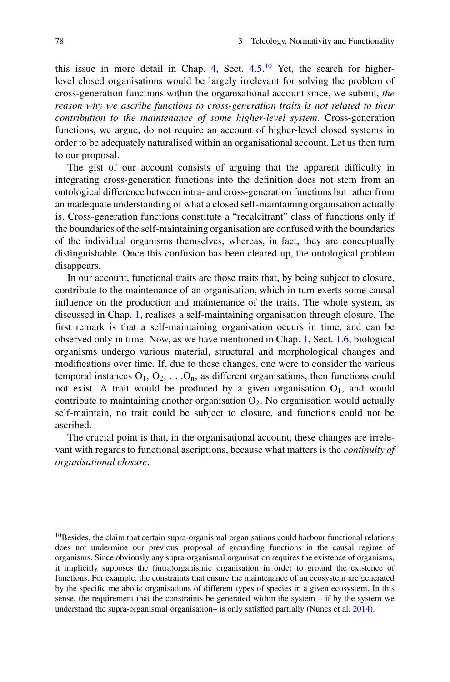this issue in more detail in Chap. [4,](http://dx.doi.org/10.1007/978-94-017-9837-2_4) Sect.  $4.5<sup>10</sup>$  Yet, the search for higherlevel closed organisations would be largely irrelevant for solving the problem of cross-generation functions within the organisational account since, we submit, *the reason why we ascribe functions to cross-generation traits is not related to their contribution to the maintenance of some higher-level system*. Cross-generation functions, we argue, do not require an account of higher-level closed systems in order to be adequately naturalised within an organisational account. Let us then turn to our proposal.

The gist of our account consists of arguing that the apparent difficulty in integrating cross-generation functions into the definition does not stem from an ontological difference between intra- and cross-generation functions but rather from an inadequate understanding of what a closed self-maintaining organisation actually is. Cross-generation functions constitute a "recalcitrant" class of functions only if the boundaries of the self-maintaining organisation are confused with the boundaries of the individual organisms themselves, whereas, in fact, they are conceptually distinguishable. Once this confusion has been cleared up, the ontological problem disappears.

In our account, functional traits are those traits that, by being subject to closure, contribute to the maintenance of an organisation, which in turn exerts some causal influence on the production and maintenance of the traits. The whole system, as discussed in Chap. [1,](http://dx.doi.org/10.1007/978-94-017-9837-2_1) realises a self-maintaining organisation through closure. The first remark is that a self-maintaining organisation occurs in time, and can be observed only in time. Now, as we have mentioned in Chap. [1,](http://dx.doi.org/10.1007/978-94-017-9837-2_1) Sect. [1.6,](http://dx.doi.org/10.1007/978-94-017-9837-2_1) biological organisms undergo various material, structural and morphological changes and modifications over time. If, due to these changes, one were to consider the various temporal instances  $O_1, O_2, \ldots O_n$ , as different organisations, then functions could not exist. A trait would be produced by a given organisation  $O<sub>1</sub>$ , and would contribute to maintaining another organisation  $O<sub>2</sub>$ . No organisation would actually self-maintain, no trait could be subject to closure, and functions could not be ascribed.

The crucial point is that, in the organisational account, these changes are irrelevant with regards to functional ascriptions, because what matters is the *continuity of organisational closure*.

<sup>&</sup>lt;sup>10</sup>Besides, the claim that certain supra-organismal organisations could harbour functional relations does not undermine our previous proposal of grounding functions in the causal regime of organisms. Since obviously any supra-organismal organisation requires the existence of organisms, it implicitly supposes the (intra)organismic organisation in order to ground the existence of functions. For example, the constraints that ensure the maintenance of an ecosystem are generated by the specific metabolic organisations of different types of species in a given ecosystem. In this sense, the requirement that the constraints be generated within the system – if by the system we understand the supra-organismal organisation– is only satisfied partially (Nunes et al. 2014).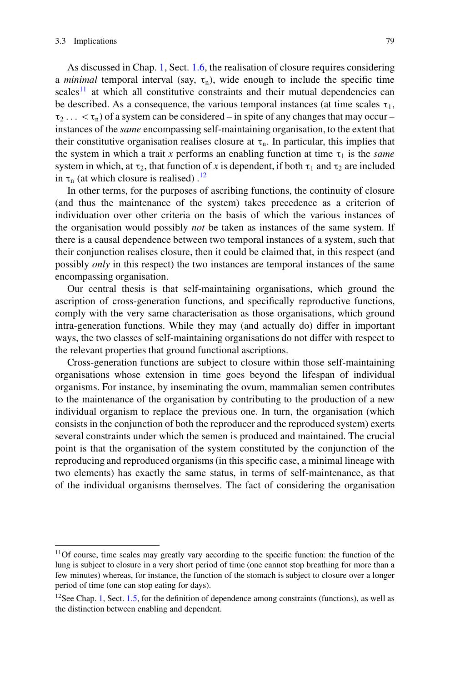As discussed in Chap. [1,](http://dx.doi.org/10.1007/978-94-017-9837-2_1) Sect. [1.6,](http://dx.doi.org/10.1007/978-94-017-9837-2_1) the realisation of closure requires considering a *minimal* temporal interval (say,  $\tau_n$ ), wide enough to include the specific time scales<sup>11</sup> at which all constitutive constraints and their mutual dependencies can be described. As a consequence, the various temporal instances (at time scales  $\tau_1$ ,  $\tau_2 \ldots \langle \tau_n \rangle$  of a system can be considered – in spite of any changes that may occur – instances of the *same* encompassing self-maintaining organisation, to the extent that their constitutive organisation realises closure at  $\tau_n$ . In particular, this implies that the system in which a trait *x* performs an enabling function at time  $\tau_1$  is the *same* system in which, at  $\tau_2$ , that function of x is dependent, if both  $\tau_1$  and  $\tau_2$  are included in  $\tau_n$  (at which closure is realised).<sup>12</sup>

In other terms, for the purposes of ascribing functions, the continuity of closure (and thus the maintenance of the system) takes precedence as a criterion of individuation over other criteria on the basis of which the various instances of the organisation would possibly *not* be taken as instances of the same system. If there is a causal dependence between two temporal instances of a system, such that their conjunction realises closure, then it could be claimed that, in this respect (and possibly *only* in this respect) the two instances are temporal instances of the same encompassing organisation.

Our central thesis is that self-maintaining organisations, which ground the ascription of cross-generation functions, and specifically reproductive functions, comply with the very same characterisation as those organisations, which ground intra-generation functions. While they may (and actually do) differ in important ways, the two classes of self-maintaining organisations do not differ with respect to the relevant properties that ground functional ascriptions.

Cross-generation functions are subject to closure within those self-maintaining organisations whose extension in time goes beyond the lifespan of individual organisms. For instance, by inseminating the ovum, mammalian semen contributes to the maintenance of the organisation by contributing to the production of a new individual organism to replace the previous one. In turn, the organisation (which consists in the conjunction of both the reproducer and the reproduced system) exerts several constraints under which the semen is produced and maintained. The crucial point is that the organisation of the system constituted by the conjunction of the reproducing and reproduced organisms (in this specific case, a minimal lineage with two elements) has exactly the same status, in terms of self-maintenance, as that of the individual organisms themselves. The fact of considering the organisation

 $11$ Of course, time scales may greatly vary according to the specific function: the function of the lung is subject to closure in a very short period of time (one cannot stop breathing for more than a few minutes) whereas, for instance, the function of the stomach is subject to closure over a longer period of time (one can stop eating for days).

<sup>&</sup>lt;sup>12</sup>See Chap. [1,](http://dx.doi.org/10.1007/978-94-017-9837-2_1) Sect. [1.5,](http://dx.doi.org/10.1007/978-94-017-9837-2_1) for the definition of dependence among constraints (functions), as well as the distinction between enabling and dependent.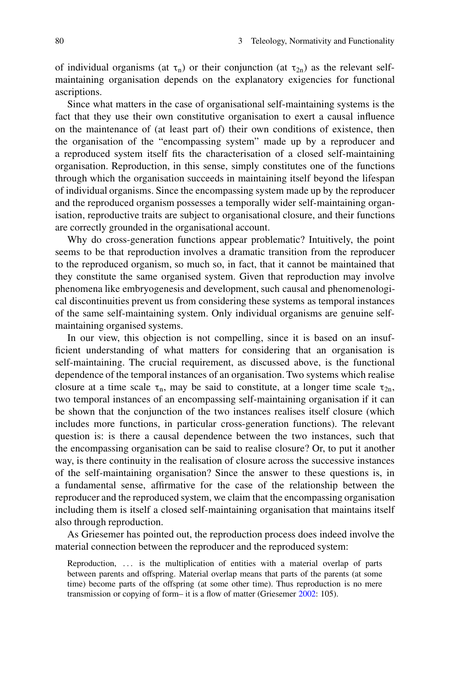of individual organisms (at  $\tau_n$ ) or their conjunction (at  $\tau_{2n}$ ) as the relevant selfmaintaining organisation depends on the explanatory exigencies for functional ascriptions.

Since what matters in the case of organisational self-maintaining systems is the fact that they use their own constitutive organisation to exert a causal influence on the maintenance of (at least part of) their own conditions of existence, then the organisation of the "encompassing system" made up by a reproducer and a reproduced system itself fits the characterisation of a closed self-maintaining organisation. Reproduction, in this sense, simply constitutes one of the functions through which the organisation succeeds in maintaining itself beyond the lifespan of individual organisms. Since the encompassing system made up by the reproducer and the reproduced organism possesses a temporally wider self-maintaining organisation, reproductive traits are subject to organisational closure, and their functions are correctly grounded in the organisational account.

Why do cross-generation functions appear problematic? Intuitively, the point seems to be that reproduction involves a dramatic transition from the reproducer to the reproduced organism, so much so, in fact, that it cannot be maintained that they constitute the same organised system. Given that reproduction may involve phenomena like embryogenesis and development, such causal and phenomenological discontinuities prevent us from considering these systems as temporal instances of the same self-maintaining system. Only individual organisms are genuine selfmaintaining organised systems.

In our view, this objection is not compelling, since it is based on an insufficient understanding of what matters for considering that an organisation is self-maintaining. The crucial requirement, as discussed above, is the functional dependence of the temporal instances of an organisation. Two systems which realise closure at a time scale  $\tau_n$ , may be said to constitute, at a longer time scale  $\tau_{2n}$ , two temporal instances of an encompassing self-maintaining organisation if it can be shown that the conjunction of the two instances realises itself closure (which includes more functions, in particular cross-generation functions). The relevant question is: is there a causal dependence between the two instances, such that the encompassing organisation can be said to realise closure? Or, to put it another way, is there continuity in the realisation of closure across the successive instances of the self-maintaining organisation? Since the answer to these questions is, in a fundamental sense, affirmative for the case of the relationship between the reproducer and the reproduced system, we claim that the encompassing organisation including them is itself a closed self-maintaining organisation that maintains itself also through reproduction.

As Griesemer has pointed out, the reproduction process does indeed involve the material connection between the reproducer and the reproduced system:

Reproduction, ... is the multiplication of entities with a material overlap of parts between parents and offspring. Material overlap means that parts of the parents (at some time) become parts of the offspring (at some other time). Thus reproduction is no mere transmission or copying of form– it is a flow of matter (Griesemer 2002: 105).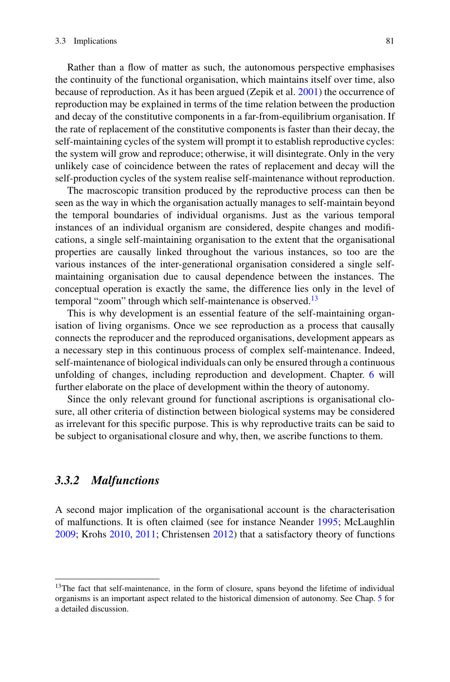<span id="page-18-0"></span>Rather than a flow of matter as such, the autonomous perspective emphasises the continuity of the functional organisation, which maintains itself over time, also because of reproduction. As it has been argued (Zepik et al. 2001) the occurrence of reproduction may be explained in terms of the time relation between the production and decay of the constitutive components in a far-from-equilibrium organisation. If the rate of replacement of the constitutive components is faster than their decay, the self-maintaining cycles of the system will prompt it to establish reproductive cycles: the system will grow and reproduce; otherwise, it will disintegrate. Only in the very unlikely case of coincidence between the rates of replacement and decay will the self-production cycles of the system realise self-maintenance without reproduction.

The macroscopic transition produced by the reproductive process can then be seen as the way in which the organisation actually manages to self-maintain beyond the temporal boundaries of individual organisms. Just as the various temporal instances of an individual organism are considered, despite changes and modifications, a single self-maintaining organisation to the extent that the organisational properties are causally linked throughout the various instances, so too are the various instances of the inter-generational organisation considered a single selfmaintaining organisation due to causal dependence between the instances. The conceptual operation is exactly the same, the difference lies only in the level of temporal "zoom" through which self-maintenance is observed.<sup>13</sup>

This is why development is an essential feature of the self-maintaining organisation of living organisms. Once we see reproduction as a process that causally connects the reproducer and the reproduced organisations, development appears as a necessary step in this continuous process of complex self-maintenance. Indeed, self-maintenance of biological individuals can only be ensured through a continuous unfolding of changes, including reproduction and development. Chapter. [6](http://dx.doi.org/10.1007/978-94-017-9837-2_6) will further elaborate on the place of development within the theory of autonomy.

Since the only relevant ground for functional ascriptions is organisational closure, all other criteria of distinction between biological systems may be considered as irrelevant for this specific purpose. This is why reproductive traits can be said to be subject to organisational closure and why, then, we ascribe functions to them.

## *3.3.2 Malfunctions*

A second major implication of the organisational account is the characterisation of malfunctions. It is often claimed (see for instance Neander 1995; McLaughlin 2009; Krohs 2010, 2011; Christensen 2012) that a satisfactory theory of functions

<sup>&</sup>lt;sup>13</sup>The fact that self-maintenance, in the form of closure, spans beyond the lifetime of individual organisms is an important aspect related to the historical dimension of autonomy. See Chap. [5](http://dx.doi.org/10.1007/978-94-017-9837-2_5) for a detailed discussion.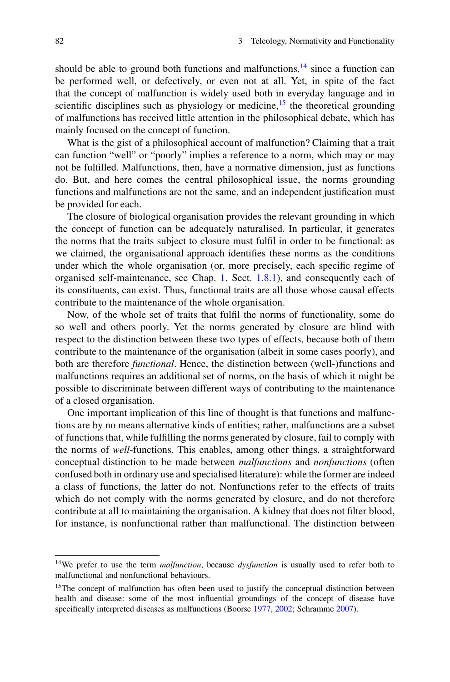should be able to ground both functions and malfunctions,  $14$  since a function can be performed well, or defectively, or even not at all. Yet, in spite of the fact that the concept of malfunction is widely used both in everyday language and in scientific disciplines such as physiology or medicine,  $15$  the theoretical grounding of malfunctions has received little attention in the philosophical debate, which has mainly focused on the concept of function.

What is the gist of a philosophical account of malfunction? Claiming that a trait can function "well" or "poorly" implies a reference to a norm, which may or may not be fulfilled. Malfunctions, then, have a normative dimension, just as functions do. But, and here comes the central philosophical issue, the norms grounding functions and malfunctions are not the same, and an independent justification must be provided for each.

The closure of biological organisation provides the relevant grounding in which the concept of function can be adequately naturalised. In particular, it generates the norms that the traits subject to closure must fulfil in order to be functional: as we claimed, the organisational approach identifies these norms as the conditions under which the whole organisation (or, more precisely, each specific regime of organised self-maintenance, see Chap. [1,](http://dx.doi.org/10.1007/978-94-017-9837-2_1) Sect. [1.8.1\)](http://dx.doi.org/10.1007/978-94-017-9837-2_1), and consequently each of its constituents, can exist. Thus, functional traits are all those whose causal effects contribute to the maintenance of the whole organisation.

Now, of the whole set of traits that fulfil the norms of functionality, some do so well and others poorly. Yet the norms generated by closure are blind with respect to the distinction between these two types of effects, because both of them contribute to the maintenance of the organisation (albeit in some cases poorly), and both are therefore *functional*. Hence, the distinction between (well-)functions and malfunctions requires an additional set of norms, on the basis of which it might be possible to discriminate between different ways of contributing to the maintenance of a closed organisation.

One important implication of this line of thought is that functions and malfunctions are by no means alternative kinds of entities; rather, malfunctions are a subset of functions that, while fulfilling the norms generated by closure, fail to comply with the norms of *well*-functions. This enables, among other things, a straightforward conceptual distinction to be made between *malfunctions* and *nonfunctions* (often confused both in ordinary use and specialised literature): while the former are indeed a class of functions, the latter do not. Nonfunctions refer to the effects of traits which do not comply with the norms generated by closure, and do not therefore contribute at all to maintaining the organisation. A kidney that does not filter blood, for instance, is nonfunctional rather than malfunctional. The distinction between

<sup>14</sup>We prefer to use the term *malfunction*, because *dysfunction* is usually used to refer both to malfunctional and nonfunctional behaviours.

<sup>&</sup>lt;sup>15</sup>The concept of malfunction has often been used to justify the conceptual distinction between health and disease: some of the most influential groundings of the concept of disease have specifically interpreted diseases as malfunctions (Boorse 1977, 2002; Schramme 2007).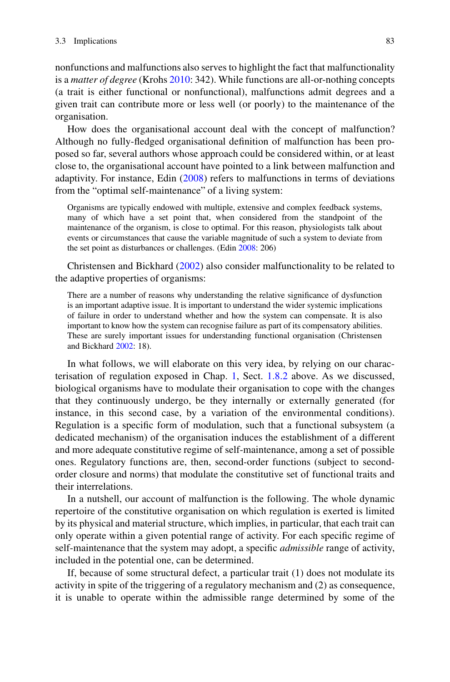nonfunctions and malfunctions also serves to highlight the fact that malfunctionality is a *matter of degree* (Krohs 2010: 342). While functions are all-or-nothing concepts (a trait is either functional or nonfunctional), malfunctions admit degrees and a given trait can contribute more or less well (or poorly) to the maintenance of the organisation.

How does the organisational account deal with the concept of malfunction? Although no fully-fledged organisational definition of malfunction has been proposed so far, several authors whose approach could be considered within, or at least close to, the organisational account have pointed to a link between malfunction and adaptivity. For instance, Edin (2008) refers to malfunctions in terms of deviations from the "optimal self-maintenance" of a living system:

Organisms are typically endowed with multiple, extensive and complex feedback systems, many of which have a set point that, when considered from the standpoint of the maintenance of the organism, is close to optimal. For this reason, physiologists talk about events or circumstances that cause the variable magnitude of such a system to deviate from the set point as disturbances or challenges. (Edin 2008: 206)

Christensen and Bickhard (2002) also consider malfunctionality to be related to the adaptive properties of organisms:

There are a number of reasons why understanding the relative significance of dysfunction is an important adaptive issue. It is important to understand the wider systemic implications of failure in order to understand whether and how the system can compensate. It is also important to know how the system can recognise failure as part of its compensatory abilities. These are surely important issues for understanding functional organisation (Christensen and Bickhard 2002: 18).

In what follows, we will elaborate on this very idea, by relying on our characterisation of regulation exposed in Chap. [1,](http://dx.doi.org/10.1007/978-94-017-9837-2_1) Sect. [1.8.2](http://dx.doi.org/10.1007/978-94-017-9837-2_1) above. As we discussed, biological organisms have to modulate their organisation to cope with the changes that they continuously undergo, be they internally or externally generated (for instance, in this second case, by a variation of the environmental conditions). Regulation is a specific form of modulation, such that a functional subsystem (a dedicated mechanism) of the organisation induces the establishment of a different and more adequate constitutive regime of self-maintenance, among a set of possible ones. Regulatory functions are, then, second-order functions (subject to secondorder closure and norms) that modulate the constitutive set of functional traits and their interrelations.

In a nutshell, our account of malfunction is the following. The whole dynamic repertoire of the constitutive organisation on which regulation is exerted is limited by its physical and material structure, which implies, in particular, that each trait can only operate within a given potential range of activity. For each specific regime of self-maintenance that the system may adopt, a specific *admissible* range of activity, included in the potential one, can be determined.

If, because of some structural defect, a particular trait (1) does not modulate its activity in spite of the triggering of a regulatory mechanism and (2) as consequence, it is unable to operate within the admissible range determined by some of the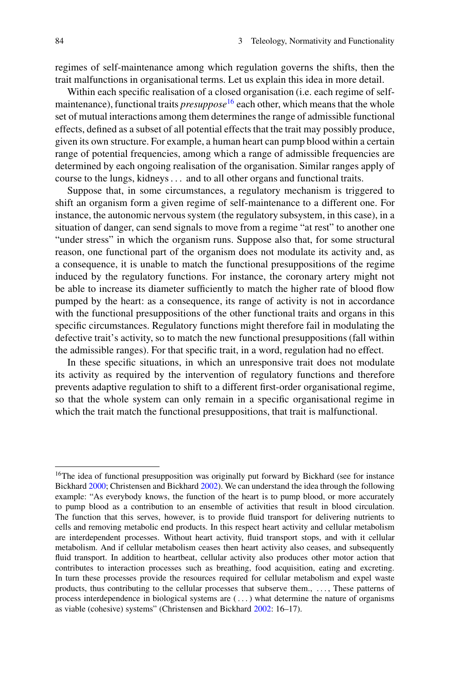regimes of self-maintenance among which regulation governs the shifts, then the trait malfunctions in organisational terms. Let us explain this idea in more detail.

Within each specific realisation of a closed organisation (i.e. each regime of selfmaintenance), functional traits *presuppose*<sup>16</sup> each other, which means that the whole set of mutual interactions among them determines the range of admissible functional effects, defined as a subset of all potential effects that the trait may possibly produce, given its own structure. For example, a human heart can pump blood within a certain range of potential frequencies, among which a range of admissible frequencies are determined by each ongoing realisation of the organisation. Similar ranges apply of course to the lungs, kidneys::: and to all other organs and functional traits.

Suppose that, in some circumstances, a regulatory mechanism is triggered to shift an organism form a given regime of self-maintenance to a different one. For instance, the autonomic nervous system (the regulatory subsystem, in this case), in a situation of danger, can send signals to move from a regime "at rest" to another one "under stress" in which the organism runs. Suppose also that, for some structural reason, one functional part of the organism does not modulate its activity and, as a consequence, it is unable to match the functional presuppositions of the regime induced by the regulatory functions. For instance, the coronary artery might not be able to increase its diameter sufficiently to match the higher rate of blood flow pumped by the heart: as a consequence, its range of activity is not in accordance with the functional presuppositions of the other functional traits and organs in this specific circumstances. Regulatory functions might therefore fail in modulating the defective trait's activity, so to match the new functional presuppositions (fall within the admissible ranges). For that specific trait, in a word, regulation had no effect.

In these specific situations, in which an unresponsive trait does not modulate its activity as required by the intervention of regulatory functions and therefore prevents adaptive regulation to shift to a different first-order organisational regime, so that the whole system can only remain in a specific organisational regime in which the trait match the functional presuppositions, that trait is malfunctional.

<sup>&</sup>lt;sup>16</sup>The idea of functional presupposition was originally put forward by Bickhard (see for instance Bickhard 2000; Christensen and Bickhard 2002). We can understand the idea through the following example: "As everybody knows, the function of the heart is to pump blood, or more accurately to pump blood as a contribution to an ensemble of activities that result in blood circulation. The function that this serves, however, is to provide fluid transport for delivering nutrients to cells and removing metabolic end products. In this respect heart activity and cellular metabolism are interdependent processes. Without heart activity, fluid transport stops, and with it cellular metabolism. And if cellular metabolism ceases then heart activity also ceases, and subsequently fluid transport. In addition to heartbeat, cellular activity also produces other motor action that contributes to interaction processes such as breathing, food acquisition, eating and excreting. In turn these processes provide the resources required for cellular metabolism and expel waste products, thus contributing to the cellular processes that subserve them., ::: , These patterns of process interdependence in biological systems are  $(\ldots)$  what determine the nature of organisms as viable (cohesive) systems" (Christensen and Bickhard 2002: 16–17).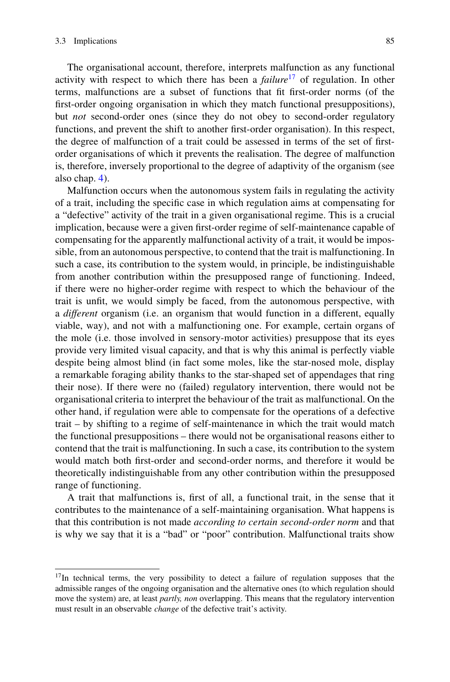The organisational account, therefore, interprets malfunction as any functional activity with respect to which there has been a *failure*<sup>17</sup> of regulation. In other terms, malfunctions are a subset of functions that fit first-order norms (of the first-order ongoing organisation in which they match functional presuppositions), but *not* second-order ones (since they do not obey to second-order regulatory functions, and prevent the shift to another first-order organisation). In this respect, the degree of malfunction of a trait could be assessed in terms of the set of firstorder organisations of which it prevents the realisation. The degree of malfunction is, therefore, inversely proportional to the degree of adaptivity of the organism (see also chap. [4\)](http://dx.doi.org/10.1007/978-94-017-9837-2_4).

Malfunction occurs when the autonomous system fails in regulating the activity of a trait, including the specific case in which regulation aims at compensating for a "defective" activity of the trait in a given organisational regime. This is a crucial implication, because were a given first-order regime of self-maintenance capable of compensating for the apparently malfunctional activity of a trait, it would be impossible, from an autonomous perspective, to contend that the trait is malfunctioning. In such a case, its contribution to the system would, in principle, be indistinguishable from another contribution within the presupposed range of functioning. Indeed, if there were no higher-order regime with respect to which the behaviour of the trait is unfit, we would simply be faced, from the autonomous perspective, with a *different* organism (i.e. an organism that would function in a different, equally viable, way), and not with a malfunctioning one. For example, certain organs of the mole (i.e. those involved in sensory-motor activities) presuppose that its eyes provide very limited visual capacity, and that is why this animal is perfectly viable despite being almost blind (in fact some moles, like the star-nosed mole, display a remarkable foraging ability thanks to the star-shaped set of appendages that ring their nose). If there were no (failed) regulatory intervention, there would not be organisational criteria to interpret the behaviour of the trait as malfunctional. On the other hand, if regulation were able to compensate for the operations of a defective trait – by shifting to a regime of self-maintenance in which the trait would match the functional presuppositions – there would not be organisational reasons either to contend that the trait is malfunctioning. In such a case, its contribution to the system would match both first-order and second-order norms, and therefore it would be theoretically indistinguishable from any other contribution within the presupposed range of functioning.

A trait that malfunctions is, first of all, a functional trait, in the sense that it contributes to the maintenance of a self-maintaining organisation. What happens is that this contribution is not made *according to certain second-order norm* and that is why we say that it is a "bad" or "poor" contribution. Malfunctional traits show

<sup>&</sup>lt;sup>17</sup>In technical terms, the very possibility to detect a failure of regulation supposes that the admissible ranges of the ongoing organisation and the alternative ones (to which regulation should move the system) are, at least *partly, non* overlapping. This means that the regulatory intervention must result in an observable *change* of the defective trait's activity.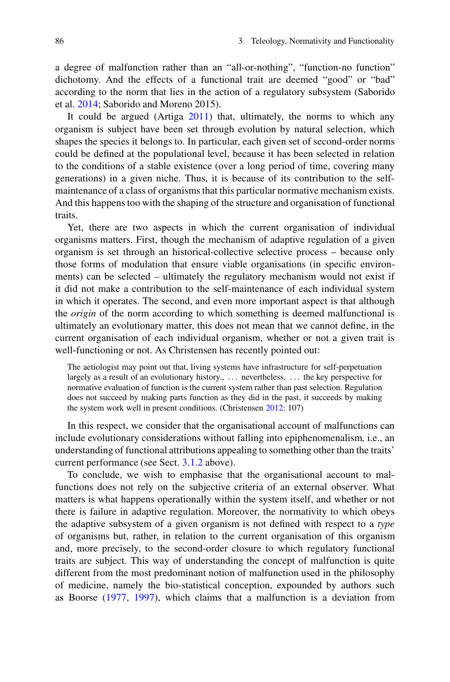a degree of malfunction rather than an "all-or-nothing", "function-no function" dichotomy. And the effects of a functional trait are deemed "good" or "bad" according to the norm that lies in the action of a regulatory subsystem (Saborido et al. 2014; Saborido and Moreno 2015).

It could be argued (Artiga 2011) that, ultimately, the norms to which any organism is subject have been set through evolution by natural selection, which shapes the species it belongs to. In particular, each given set of second-order norms could be defined at the populational level, because it has been selected in relation to the conditions of a stable existence (over a long period of time, covering many generations) in a given niche. Thus, it is because of its contribution to the selfmaintenance of a class of organisms that this particular normative mechanism exists. And this happens too with the shaping of the structure and organisation of functional traits.

Yet, there are two aspects in which the current organisation of individual organisms matters. First, though the mechanism of adaptive regulation of a given organism is set through an historical-collective selective process – because only those forms of modulation that ensure viable organisations (in specific environments) can be selected – ultimately the regulatory mechanism would not exist if it did not make a contribution to the self-maintenance of each individual system in which it operates. The second, and even more important aspect is that although the *origin* of the norm according to which something is deemed malfunctional is ultimately an evolutionary matter, this does not mean that we cannot define, in the current organisation of each individual organism, whether or not a given trait is well-functioning or not. As Christensen has recently pointed out:

The aetiologist may point out that, living systems have infrastructure for self-perpetuation largely as a result of an evolutionary history., ... nevertheless, ... the key perspective for normative evaluation of function is the current system rather than past selection. Regulation does not succeed by making parts function as they did in the past, it succeeds by making the system work well in present conditions. (Christensen 2012: 107)

In this respect, we consider that the organisational account of malfunctions can include evolutionary considerations without falling into epiphenomenalism*,* i.e., an understanding of functional attributions appealing to something other than the traits' current performance (see Sect. [3.1.2](#page-4-0) above).

To conclude, we wish to emphasise that the organisational account to malfunctions does not rely on the subjective criteria of an external observer. What matters is what happens operationally within the system itself, and whether or not there is failure in adaptive regulation. Moreover, the normativity to which obeys the adaptive subsystem of a given organism is not defined with respect to a *type* of organisms but, rather, in relation to the current organisation of this organism and, more precisely, to the second-order closure to which regulatory functional traits are subject. This way of understanding the concept of malfunction is quite different from the most predominant notion of malfunction used in the philosophy of medicine, namely the bio-statistical conception, expounded by authors such as Boorse (1977, 1997), which claims that a malfunction is a deviation from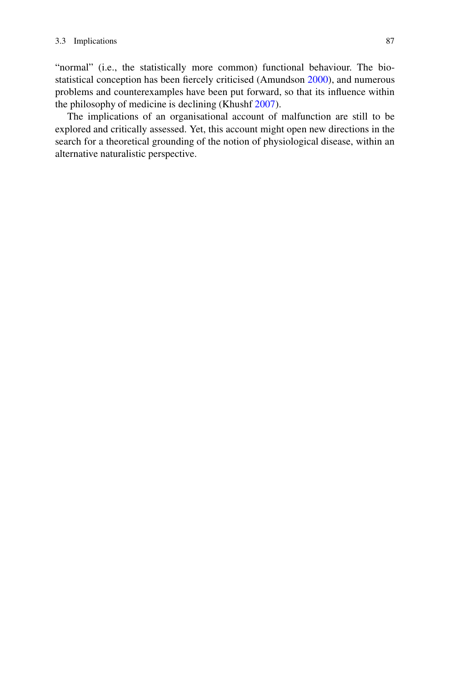"normal" (i.e., the statistically more common) functional behaviour. The biostatistical conception has been fiercely criticised (Amundson 2000), and numerous problems and counterexamples have been put forward, so that its influence within the philosophy of medicine is declining (Khushf 2007).

The implications of an organisational account of malfunction are still to be explored and critically assessed. Yet, this account might open new directions in the search for a theoretical grounding of the notion of physiological disease, within an alternative naturalistic perspective.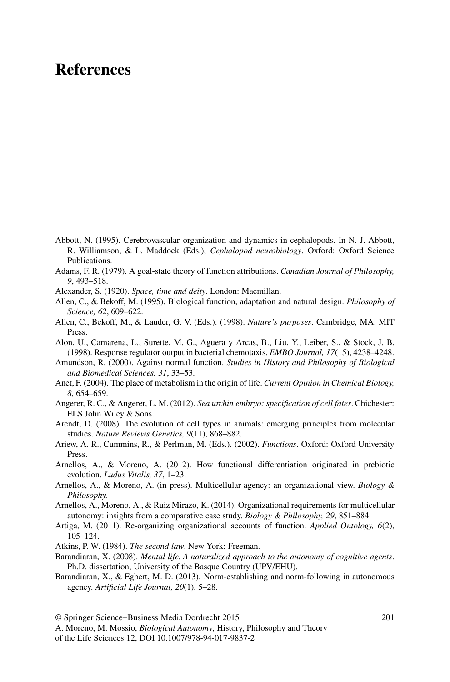# **References**

- Abbott, N. (1995). Cerebrovascular organization and dynamics in cephalopods. In N. J. Abbott, R. Williamson, & L. Maddock (Eds.), *Cephalopod neurobiology*. Oxford: Oxford Science Publications.
- Adams, F. R. (1979). A goal-state theory of function attributions. *Canadian Journal of Philosophy, 9*, 493–518.
- Alexander, S. (1920). *Space, time and deity*. London: Macmillan.
- Allen, C., & Bekoff, M. (1995). Biological function, adaptation and natural design. *Philosophy of Science, 62*, 609–622.
- Allen, C., Bekoff, M., & Lauder, G. V. (Eds.). (1998). *Nature's purposes*. Cambridge, MA: MIT Press.
- Alon, U., Camarena, L., Surette, M. G., Aguera y Arcas, B., Liu, Y., Leiber, S., & Stock, J. B. (1998). Response regulator output in bacterial chemotaxis. *EMBO Journal, 17*(15), 4238–4248.
- Amundson, R. (2000). Against normal function. *Studies in History and Philosophy of Biological and Biomedical Sciences, 31*, 33–53.
- Anet, F. (2004). The place of metabolism in the origin of life. *Current Opinion in Chemical Biology, 8*, 654–659.
- Angerer, R. C., & Angerer, L. M. (2012). *Sea urchin embryo: specification of cell fates*. Chichester: ELS John Wiley & Sons.
- Arendt, D. (2008). The evolution of cell types in animals: emerging principles from molecular studies. *Nature Reviews Genetics, 9*(11), 868–882.
- Ariew, A. R., Cummins, R., & Perlman, M. (Eds.). (2002). *Functions*. Oxford: Oxford University Press.
- Arnellos, A., & Moreno, A. (2012). How functional differentiation originated in prebiotic evolution. *Ludus Vitalis, 37*, 1–23.
- Arnellos, A., & Moreno, A. (in press). Multicellular agency: an organizational view. *Biology & Philosophy.*
- Arnellos, A., Moreno, A., & Ruiz Mirazo, K. (2014). Organizational requirements for multicellular autonomy: insights from a comparative case study. *Biology & Philosophy, 29*, 851–884.
- Artiga, M. (2011). Re-organizing organizational accounts of function. *Applied Ontology, 6*(2), 105–124.
- Atkins, P. W. (1984). *The second law*. New York: Freeman.
- Barandiaran, X. (2008). *Mental life. A naturalized approach to the autonomy of cognitive agents*. Ph.D. dissertation, University of the Basque Country (UPV/EHU).
- Barandiaran, X., & Egbert, M. D. (2013). Norm-establishing and norm-following in autonomous agency. *Artificial Life Journal, 20*(1), 5–28.
- © Springer Science+Business Media Dordrecht 2015

A. Moreno, M. Mossio, *Biological Autonomy*, History, Philosophy and Theory

of the Life Sciences 12, DOI 10.1007/978-94-017-9837-2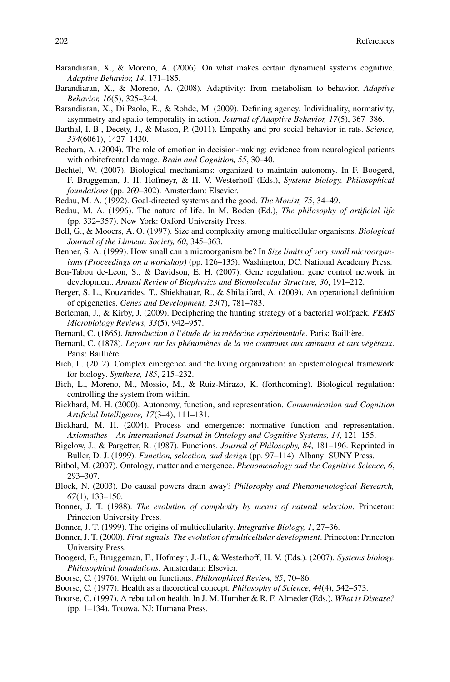- Barandiaran, X., & Moreno, A. (2006). On what makes certain dynamical systems cognitive. *Adaptive Behavior, 14*, 171–185.
- Barandiaran, X., & Moreno, A. (2008). Adaptivity: from metabolism to behavior. *Adaptive Behavior, 16*(5), 325–344.
- Barandiaran, X., Di Paolo, E., & Rohde, M. (2009). Defining agency. Individuality, normativity, asymmetry and spatio-temporality in action. *Journal of Adaptive Behavior, 17*(5), 367–386.
- Barthal, I. B., Decety, J., & Mason, P. (2011). Empathy and pro-social behavior in rats. *Science, 334*(6061), 1427–1430.
- Bechara, A. (2004). The role of emotion in decision-making: evidence from neurological patients with orbitofrontal damage. *Brain and Cognition, 55*, 30–40.
- Bechtel, W. (2007). Biological mechanisms: organized to maintain autonomy. In F. Boogerd, F. Bruggeman, J. H. Hofmeyr, & H. V. Westerhoff (Eds.), *Systems biology. Philosophical foundations* (pp. 269–302). Amsterdam: Elsevier.
- Bedau, M. A. (1992). Goal-directed systems and the good. *The Monist, 75*, 34–49.
- Bedau, M. A. (1996). The nature of life. In M. Boden (Ed.), *The philosophy of artificial life* (pp. 332–357). New York: Oxford University Press.
- Bell, G., & Mooers, A. O. (1997). Size and complexity among multicellular organisms. *Biological Journal of the Linnean Society, 60*, 345–363.
- Benner, S. A. (1999). How small can a microorganism be? In *Size limits of very small microorganisms (Proceedings on a workshop)* (pp. 126–135). Washington, DC: National Academy Press.
- Ben-Tabou de-Leon, S., & Davidson, E. H. (2007). Gene regulation: gene control network in development. *Annual Review of Biophysics and Biomolecular Structure, 36*, 191–212.
- Berger, S. L., Kouzarides, T., Shiekhattar, R., & Shilatifard, A. (2009). An operational definition of epigenetics. *Genes and Development, 23*(7), 781–783.
- Berleman, J., & Kirby, J. (2009). Deciphering the hunting strategy of a bacterial wolfpack. *FEMS Microbiology Reviews, 33*(5), 942–957.
- Bernard, C. (1865). *Introduction á l'étude de la médecine expérimentale*. Paris: Baillière.
- Bernard, C. (1878). *Leçons sur les phénomènes de la vie communs aux animaux et aux végétaux*. Paris: Baillière.
- Bich, L. (2012). Complex emergence and the living organization: an epistemological framework for biology. *Synthese, 185*, 215–232.
- Bich, L., Moreno, M., Mossio, M., & Ruiz-Mirazo, K. (forthcoming). Biological regulation: controlling the system from within.
- Bickhard, M. H. (2000). Autonomy, function, and representation. *Communication and Cognition Artificial Intelligence, 17*(3–4), 111–131.
- Bickhard, M. H. (2004). Process and emergence: normative function and representation. *Axiomathes – An International Journal in Ontology and Cognitive Systems, 14*, 121–155.
- Bigelow, J., & Pargetter, R. (1987). Functions. *Journal of Philosophy, 84*, 181–196. Reprinted in Buller, D. J. (1999). *Function, selection, and design* (pp. 97–114). Albany: SUNY Press.
- Bitbol, M. (2007). Ontology, matter and emergence. *Phenomenology and the Cognitive Science, 6*, 293–307.
- Block, N. (2003). Do causal powers drain away? *Philosophy and Phenomenological Research, 67*(1), 133–150.
- Bonner, J. T. (1988). *The evolution of complexity by means of natural selection*. Princeton: Princeton University Press.
- Bonner, J. T. (1999). The origins of multicellularity. *Integrative Biology, 1*, 27–36.
- Bonner, J. T. (2000). *First signals. The evolution of multicellular development*. Princeton: Princeton University Press.
- Boogerd, F., Bruggeman, F., Hofmeyr, J.-H., & Westerhoff, H. V. (Eds.). (2007). *Systems biology. Philosophical foundations*. Amsterdam: Elsevier.
- Boorse, C. (1976). Wright on functions. *Philosophical Review, 85*, 70–86.
- Boorse, C. (1977). Health as a theoretical concept. *Philosophy of Science, 44*(4), 542–573.
- Boorse, C. (1997). A rebuttal on health. In J. M. Humber & R. F. Almeder (Eds.), *What is Disease?* (pp. 1–134). Totowa, NJ: Humana Press.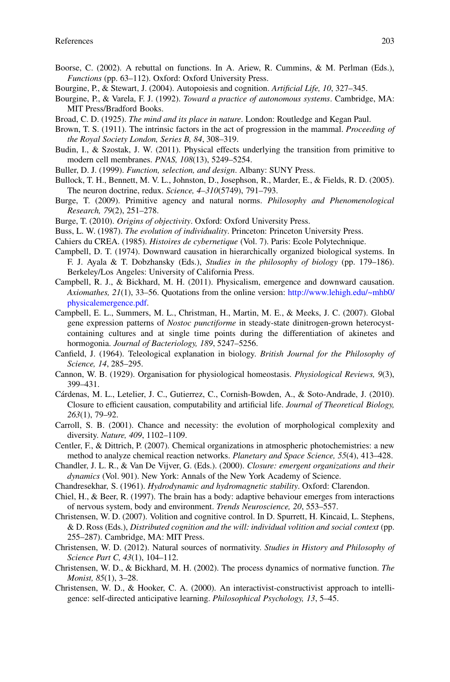- Boorse, C. (2002). A rebuttal on functions. In A. Ariew, R. Cummins, & M. Perlman (Eds.), *Functions* (pp. 63–112). Oxford: Oxford University Press.
- Bourgine, P., & Stewart, J. (2004). Autopoiesis and cognition. *Artificial Life, 10*, 327–345.
- Bourgine, P., & Varela, F. J. (1992). *Toward a practice of autonomous systems*. Cambridge, MA: MIT Press/Bradford Books.
- Broad, C. D. (1925). *The mind and its place in nature*. London: Routledge and Kegan Paul.
- Brown, T. S. (1911). The intrinsic factors in the act of progression in the mammal. *Proceeding of the Royal Society London, Series B, 84*, 308–319.
- Budin, I., & Szostak, J. W. (2011). Physical effects underlying the transition from primitive to modern cell membranes. *PNAS, 108*(13), 5249–5254.
- Buller, D. J. (1999). *Function, selection, and design*. Albany: SUNY Press.
- Bullock, T. H., Bennett, M. V. L., Johnston, D., Josephson, R., Marder, E., & Fields, R. D. (2005). The neuron doctrine, redux. *Science, 4–310*(5749), 791–793.
- Burge, T. (2009). Primitive agency and natural norms. *Philosophy and Phenomenological Research, 79*(2), 251–278.
- Burge, T. (2010). *Origins of objectivity*. Oxford: Oxford University Press.
- Buss, L. W. (1987). *The evolution of individuality*. Princeton: Princeton University Press.
- Cahiers du CREA. (1985). *Histoires de cybernetique* (Vol. 7). Paris: Ecole Polytechnique.
- Campbell, D. T. (1974). Downward causation in hierarchically organized biological systems. In F. J. Ayala & T. Dobzhansky (Eds.), *Studies in the philosophy of biology* (pp. 179–186). Berkeley/Los Angeles: University of California Press.
- Campbell, R. J., & Bickhard, M. H. (2011). Physicalism, emergence and downward causation. *Axiomathes, 21*(1), 33–56. Quotations from the online version: [http://www.lehigh.edu/~mhb0/](http://www.lehigh.edu/~mhb0/physicalemergence.pdf) [physicalemergence.pdf.](http://www.lehigh.edu/~mhb0/physicalemergence.pdf)
- Campbell, E. L., Summers, M. L., Christman, H., Martin, M. E., & Meeks, J. C. (2007). Global gene expression patterns of *Nostoc punctiforme* in steady-state dinitrogen-grown heterocystcontaining cultures and at single time points during the differentiation of akinetes and hormogonia. *Journal of Bacteriology, 189*, 5247–5256.
- Canfield, J. (1964). Teleological explanation in biology. *British Journal for the Philosophy of Science, 14*, 285–295.
- Cannon, W. B. (1929). Organisation for physiological homeostasis. *Physiological Reviews, 9*(3), 399–431.
- Cárdenas, M. L., Letelier, J. C., Gutierrez, C., Cornish-Bowden, A., & Soto-Andrade, J. (2010). Closure to efficient causation, computability and artificial life. *Journal of Theoretical Biology, 263*(1), 79–92.
- Carroll, S. B. (2001). Chance and necessity: the evolution of morphological complexity and diversity. *Nature, 409*, 1102–1109.
- Centler, F., & Dittrich, P. (2007). Chemical organizations in atmospheric photochemistries: a new method to analyze chemical reaction networks. *Planetary and Space Science, 55*(4), 413–428.
- Chandler, J. L. R., & Van De Vijver, G. (Eds.). (2000). *Closure: emergent organizations and their dynamics* (Vol. 901). New York: Annals of the New York Academy of Science.
- Chandresekhar, S. (1961). *Hydrodynamic and hydromagnetic stability*. Oxford: Clarendon.
- Chiel, H., & Beer, R. (1997). The brain has a body: adaptive behaviour emerges from interactions of nervous system, body and environment. *Trends Neuroscience, 20*, 553–557.
- Christensen, W. D. (2007). Volition and cognitive control. In D. Spurrett, H. Kincaid, L. Stephens, & D. Ross (Eds.), *Distributed cognition and the will: individual volition and social context* (pp. 255–287). Cambridge, MA: MIT Press.
- Christensen, W. D. (2012). Natural sources of normativity. *Studies in History and Philosophy of Science Part C, 43*(1), 104–112.
- Christensen, W. D., & Bickhard, M. H. (2002). The process dynamics of normative function. *The Monist, 85*(1), 3–28.
- Christensen, W. D., & Hooker, C. A. (2000). An interactivist-constructivist approach to intelligence: self-directed anticipative learning. *Philosophical Psychology, 13*, 5–45.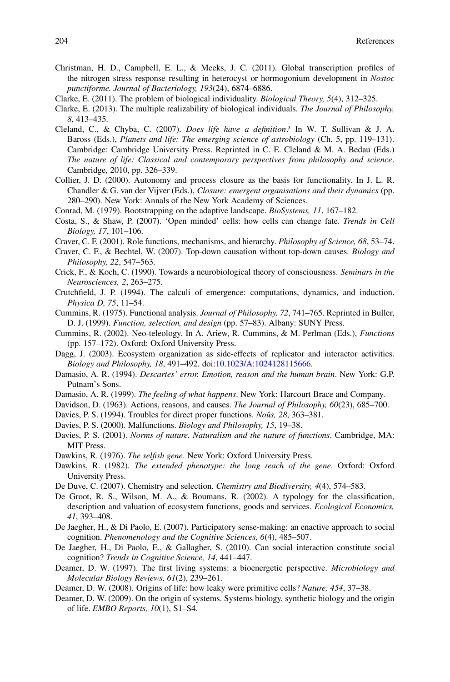- Christman, H. D., Campbell, E. L., & Meeks, J. C. (2011). Global transcription profiles of the nitrogen stress response resulting in heterocyst or hormogonium development in *Nostoc punctiforme. Journal of Bacteriology, 193*(24), 6874–6886.
- Clarke, E. (2011). The problem of biological individuality. *Biological Theory, 5*(4), 312–325.
- Clarke, E. (2013). The multiple realizability of biological individuals. *The Journal of Philosophy, 8*, 413–435.
- Cleland, C., & Chyba, C. (2007). *Does life have a definition?* In W. T. Sullivan & J. A. Baross (Eds.), *Planets and life: The emerging science of astrobiology* (Ch. 5, pp. 119–131). Cambridge: Cambridge University Press. Reprinted in C. E. Cleland & M. A. Bedau (Eds.) *The nature of life: Classical and contemporary perspectives from philosophy and science*. Cambridge, 2010, pp. 326–339.
- Collier, J. D. (2000). Autonomy and process closure as the basis for functionality. In J. L. R. Chandler & G. van der Vijver (Eds.), *Closure: emergent organisations and their dynamics* (pp. 280–290). New York: Annals of the New York Academy of Sciences.
- Conrad, M. (1979). Bootstrapping on the adaptive landscape. *BioSystems, 11*, 167–182.
- Costa, S., & Shaw, P. (2007). 'Open minded' cells: how cells can change fate. *Trends in Cell Biology, 17*, 101–106.
- Craver, C. F. (2001). Role functions, mechanisms, and hierarchy. *Philosophy of Science, 68*, 53–74.
- Craver, C. F., & Bechtel, W. (2007). Top-down causation without top-down causes. *Biology and Philosophy, 22*, 547–563.
- Crick, F., & Koch, C. (1990). Towards a neurobiological theory of consciousness. *Seminars in the Neurosciences, 2*, 263–275.
- Crutchfield, J. P. (1994). The calculi of emergence: computations, dynamics, and induction. *Physica D, 75*, 11–54.
- Cummins, R. (1975). Functional analysis. *Journal of Philosophy, 72*, 741–765. Reprinted in Buller, D. J. (1999). *Function, selection, and design* (pp. 57–83). Albany: SUNY Press.
- Cummins, R. (2002). Neo-teleology. In A. Ariew, R. Cummins, & M. Perlman (Eds.), *Functions* (pp. 157–172). Oxford: Oxford University Press.
- Dagg, J. (2003). Ecosystem organization as side-effects of replicator and interactor activities. *Biology and Philosophy, 18*, 491–492. doi[:10.1023/A:1024128115666.](http://dx.doi.org/10.1023/A:1024128115666)
- Damasio, A. R. (1994). *Descartes' error. Emotion, reason and the human brain*. New York: G.P. Putnam's Sons.
- Damasio, A. R. (1999). *The feeling of what happens*. New York: Harcourt Brace and Company.
- Davidson, D. (1963). Actions, reasons, and causes. *The Journal of Philosophy, 60*(23), 685–700.
- Davies, P. S. (1994). Troubles for direct proper functions. *Noûs, 28*, 363–381.
- Davies, P. S. (2000). Malfunctions. *Biology and Philosophy, 15*, 19–38.
- Davies, P. S. (2001). *Norms of nature. Naturalism and the nature of functions*. Cambridge, MA: MIT Press.
- Dawkins, R. (1976). *The selfish gene*. New York: Oxford University Press.
- Dawkins, R. (1982). *The extended phenotype: the long reach of the gene*. Oxford: Oxford University Press.
- De Duve, C. (2007). Chemistry and selection. *Chemistry and Biodiversity, 4*(4), 574–583.
- De Groot, R. S., Wilson, M. A., & Boumans, R. (2002). A typology for the classification, description and valuation of ecosystem functions, goods and services. *Ecological Economics, 41*, 393–408.
- De Jaegher, H., & Di Paolo, E. (2007). Participatory sense-making: an enactive approach to social cognition. *Phenomenology and the Cognitive Sciences, 6*(4), 485–507.
- De Jaegher, H., Di Paolo, E., & Gallagher, S. (2010). Can social interaction constitute social cognition? *Trends in Cognitive Science, 14*, 441–447.
- Deamer, D. W. (1997). The first living systems: a bioenergetic perspective. *Microbiology and Molecular Biology Reviews, 61*(2), 239–261.
- Deamer, D. W. (2008). Origins of life: how leaky were primitive cells? *Nature, 454*, 37–38.
- Deamer, D. W. (2009). On the origin of systems. Systems biology, synthetic biology and the origin of life. *EMBO Reports, 10*(1), S1–S4.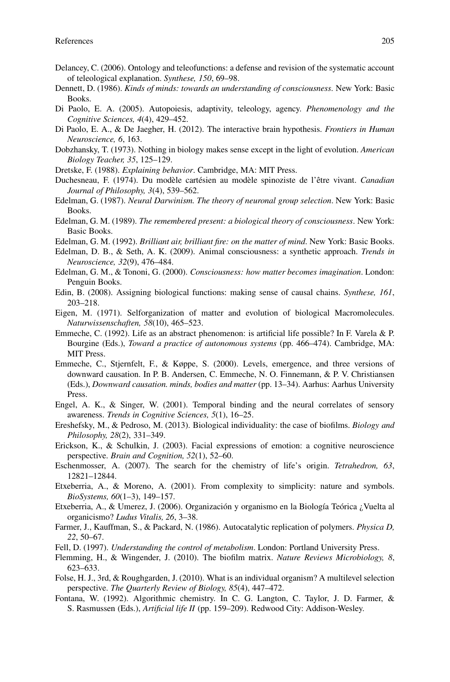- Delancey, C. (2006). Ontology and teleofunctions: a defense and revision of the systematic account of teleological explanation. *Synthese, 150*, 69–98.
- Dennett, D. (1986). *Kinds of minds: towards an understanding of consciousness*. New York: Basic Books.
- Di Paolo, E. A. (2005). Autopoiesis, adaptivity, teleology, agency. *Phenomenology and the Cognitive Sciences, 4*(4), 429–452.
- Di Paolo, E. A., & De Jaegher, H. (2012). The interactive brain hypothesis. *Frontiers in Human Neuroscience, 6*, 163.
- Dobzhansky, T. (1973). Nothing in biology makes sense except in the light of evolution. *American Biology Teacher, 35*, 125–129.
- Dretske, F. (1988). *Explaining behavior*. Cambridge, MA: MIT Press.
- Duchesneau, F. (1974). Du modèle cartésien au modèle spinoziste de l'être vivant. *Canadian Journal of Philosophy, 3*(4), 539–562.
- Edelman, G. (1987). *Neural Darwinism. The theory of neuronal group selection*. New York: Basic Books.
- Edelman, G. M. (1989). *The remembered present: a biological theory of consciousness*. New York: Basic Books.
- Edelman, G. M. (1992). *Brilliant air, brilliant fire: on the matter of mind*. New York: Basic Books.
- Edelman, D. B., & Seth, A. K. (2009). Animal consciousness: a synthetic approach. *Trends in Neuroscience, 32*(9), 476–484.
- Edelman, G. M., & Tononi, G. (2000). *Consciousness: how matter becomes imagination*. London: Penguin Books.
- Edin, B. (2008). Assigning biological functions: making sense of causal chains. *Synthese, 161*, 203–218.
- Eigen, M. (1971). Selforganization of matter and evolution of biological Macromolecules. *Naturwissenschaften, 58*(10), 465–523.
- Emmeche, C. (1992). Life as an abstract phenomenon: is artificial life possible? In F. Varela & P. Bourgine (Eds.), *Toward a practice of autonomous systems* (pp. 466–474). Cambridge, MA: MIT Press.
- Emmeche, C., Stjernfelt, F., & Køppe, S. (2000). Levels, emergence, and three versions of downward causation. In P. B. Andersen, C. Emmeche, N. O. Finnemann, & P. V. Christiansen (Eds.), *Downward causation. minds, bodies and matter* (pp. 13–34). Aarhus: Aarhus University Press.
- Engel, A. K., & Singer, W. (2001). Temporal binding and the neural correlates of sensory awareness. *Trends in Cognitive Sciences, 5*(1), 16–25.
- Ereshefsky, M., & Pedroso, M. (2013). Biological individuality: the case of biofilms. *Biology and Philosophy, 28*(2), 331–349.
- Erickson, K., & Schulkin, J. (2003). Facial expressions of emotion: a cognitive neuroscience perspective. *Brain and Cognition, 52*(1), 52–60.
- Eschenmosser, A. (2007). The search for the chemistry of life's origin. *Tetrahedron, 63*, 12821–12844.
- Etxeberria, A., & Moreno, A. (2001). From complexity to simplicity: nature and symbols. *BioSystems, 60*(1–3), 149–157.
- Etxeberria, A., & Umerez, J. (2006). Organización y organismo en la Biología Teórica ¿Vuelta al organicismo? *Ludus Vitalis, 26*, 3–38.
- Farmer, J., Kauffman, S., & Packard, N. (1986). Autocatalytic replication of polymers. *Physica D, 22*, 50–67.
- Fell, D. (1997). *Understanding the control of metabolism*. London: Portland University Press.
- Flemming, H., & Wingender, J. (2010). The biofilm matrix. *Nature Reviews Microbiology, 8*, 623–633.
- Folse, H. J., 3rd, & Roughgarden, J. (2010). What is an individual organism? A multilevel selection perspective. *The Quarterly Review of Biology, 85*(4), 447–472.
- Fontana, W. (1992). Algorithmic chemistry. In C. G. Langton, C. Taylor, J. D. Farmer, & S. Rasmussen (Eds.), *Artificial life II* (pp. 159–209). Redwood City: Addison-Wesley.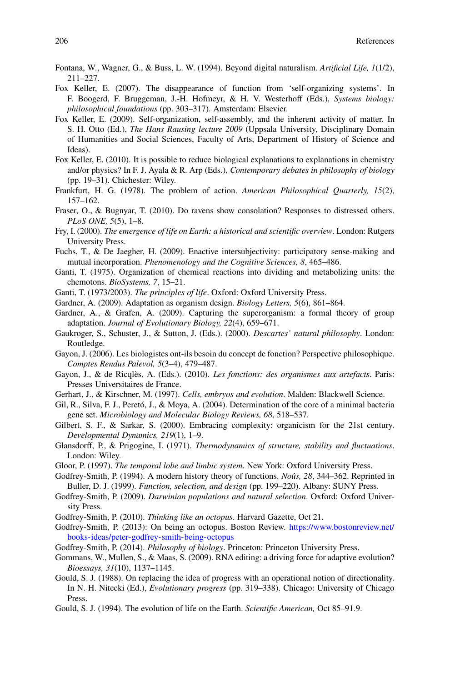- Fontana, W., Wagner, G., & Buss, L. W. (1994). Beyond digital naturalism. *Artificial Life, 1*(1/2), 211–227.
- Fox Keller, E. (2007). The disappearance of function from 'self-organizing systems'. In F. Boogerd, F. Bruggeman, J.-H. Hofmeyr, & H. V. Westerhoff (Eds.), *Systems biology: philosophical foundations* (pp. 303–317). Amsterdam: Elsevier.
- Fox Keller, E. (2009). Self-organization, self-assembly, and the inherent activity of matter. In S. H. Otto (Ed.), *The Hans Rausing lecture 2009* (Uppsala University, Disciplinary Domain of Humanities and Social Sciences, Faculty of Arts, Department of History of Science and Ideas).
- Fox Keller, E. (2010). It is possible to reduce biological explanations to explanations in chemistry and/or physics? In F. J. Ayala & R. Arp (Eds.), *Contemporary debates in philosophy of biology* (pp. 19–31). Chichester: Wiley.
- Frankfurt, H. G. (1978). The problem of action. *American Philosophical Quarterly, 15*(2), 157–162.
- Fraser, O., & Bugnyar, T. (2010). Do ravens show consolation? Responses to distressed others. *PLoS ONE, 5*(5), 1–8.
- Fry, I. (2000). *The emergence of life on Earth: a historical and scientific overview*. London: Rutgers University Press.
- Fuchs, T., & De Jaegher, H. (2009). Enactive intersubjectivity: participatory sense-making and mutual incorporation. *Phenomenology and the Cognitive Sciences, 8*, 465–486.
- Ganti, T. (1975). Organization of chemical reactions into dividing and metabolizing units: the chemotons. *BioSystems, 7*, 15–21.
- Ganti, T. (1973/2003). *The principles of life*. Oxford: Oxford University Press.
- Gardner, A. (2009). Adaptation as organism design. *Biology Letters, 5*(6), 861–864.
- Gardner, A., & Grafen, A. (2009). Capturing the superorganism: a formal theory of group adaptation. *Journal of Evolutionary Biology, 22*(4), 659–671.
- Gaukroger, S., Schuster, J., & Sutton, J. (Eds.). (2000). *Descartes' natural philosophy*. London: Routledge.
- Gayon, J. (2006). Les biologistes ont-ils besoin du concept de fonction? Perspective philosophique. *Comptes Rendus Palevol, 5*(3–4), 479–487.
- Gayon, J., & de Ricqlès, A. (Eds.). (2010). *Les fonctions: des organismes aux artefacts*. Paris: Presses Universitaires de France.
- Gerhart, J., & Kirschner, M. (1997). *Cells, embryos and evolution*. Malden: Blackwell Science.
- Gil, R., Silva, F. J., Peretó, J., & Moya, A. (2004). Determination of the core of a minimal bacteria gene set. *Microbiology and Molecular Biology Reviews, 68*, 518–537.
- Gilbert, S. F., & Sarkar, S. (2000). Embracing complexity: organicism for the 21st century. *Developmental Dynamics, 219*(1), 1–9.
- Glansdorff, P., & Prigogine, I. (1971). *Thermodynamics of structure, stability and fluctuations*. London: Wiley.
- Gloor, P. (1997). *The temporal lobe and limbic system*. New York: Oxford University Press.
- Godfrey-Smith, P. (1994). A modern history theory of functions. *Noûs, 28*, 344–362. Reprinted in Buller, D. J. (1999). *Function, selection, and design* (pp. 199–220). Albany: SUNY Press.
- Godfrey-Smith, P. (2009). *Darwinian populations and natural selection*. Oxford: Oxford University Press.
- Godfrey-Smith, P. (2010). *Thinking like an octopus*. Harvard Gazette, Oct 21.
- Godfrey-Smith, P. (2013): On being an octopus. Boston Review. [https://www.bostonreview.net/](https://www.bostonreview.net/books-ideas/peter-godfrey-smith-being-octopus) [books-ideas/peter-godfrey-smith-being-octopus](https://www.bostonreview.net/books-ideas/peter-godfrey-smith-being-octopus)
- Godfrey-Smith, P. (2014). *Philosophy of biology*. Princeton: Princeton University Press.
- Gommans, W., Mullen, S., & Maas, S. (2009). RNA editing: a driving force for adaptive evolution? *Bioessays, 31*(10), 1137–1145.
- Gould, S. J. (1988). On replacing the idea of progress with an operational notion of directionality. In N. H. Nitecki (Ed.), *Evolutionary progress* (pp. 319–338). Chicago: University of Chicago Press.
- Gould, S. J. (1994). The evolution of life on the Earth. *Scientific American,* Oct 85–91.9.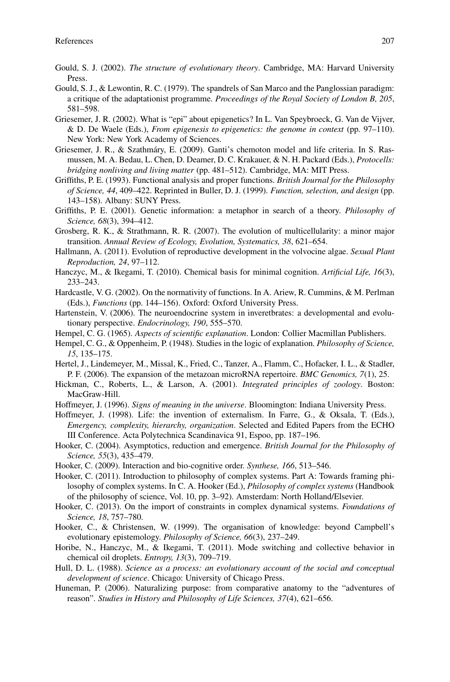- Gould, S. J. (2002). *The structure of evolutionary theory*. Cambridge, MA: Harvard University Press.
- Gould, S. J., & Lewontin, R. C. (1979). The spandrels of San Marco and the Panglossian paradigm: a critique of the adaptationist programme. *Proceedings of the Royal Society of London B, 205*, 581–598.
- Griesemer, J. R. (2002). What is "epi" about epigenetics? In L. Van Speybroeck, G. Van de Vijver, & D. De Waele (Eds.), *From epigenesis to epigenetics: the genome in context* (pp. 97–110). New York: New York Academy of Sciences.
- Griesemer, J. R., & Szathmáry, E. (2009). Ganti's chemoton model and life criteria. In S. Rasmussen, M. A. Bedau, L. Chen, D. Deamer, D. C. Krakauer, & N. H. Packard (Eds.), *Protocells: bridging nonliving and living matter* (pp. 481–512). Cambridge, MA: MIT Press.
- Griffiths, P. E. (1993). Functional analysis and proper functions. *British Journal for the Philosophy of Science, 44*, 409–422. Reprinted in Buller, D. J. (1999). *Function, selection, and design* (pp. 143–158). Albany: SUNY Press.
- Griffiths, P. E. (2001). Genetic information: a metaphor in search of a theory. *Philosophy of Science, 68*(3), 394–412.
- Grosberg, R. K., & Strathmann, R. R. (2007). The evolution of multicellularity: a minor major transition. *Annual Review of Ecology, Evolution, Systematics, 38*, 621–654.
- Hallmann, A. (2011). Evolution of reproductive development in the volvocine algae. *Sexual Plant Reproduction, 24*, 97–112.
- Hanczyc, M., & Ikegami, T. (2010). Chemical basis for minimal cognition. *Artificial Life, 16*(3), 233–243.
- Hardcastle, V. G. (2002). On the normativity of functions. In A. Ariew, R. Cummins, & M. Perlman (Eds.), *Functions* (pp. 144–156). Oxford: Oxford University Press.
- Hartenstein, V. (2006). The neuroendocrine system in inveretbrates: a developmental and evolutionary perspective. *Endocrinology, 190*, 555–570.
- Hempel, C. G. (1965). *Aspects of scientific explanation*. London: Collier Macmillan Publishers.
- Hempel, C. G., & Oppenheim, P. (1948). Studies in the logic of explanation. *Philosophy of Science, 15*, 135–175.
- Hertel, J., Lindemeyer, M., Missal, K., Fried, C., Tanzer, A., Flamm, C., Hofacker, I. L., & Stadler, P. F. (2006). The expansion of the metazoan microRNA repertoire. *BMC Genomics, 7*(1), 25.
- Hickman, C., Roberts, L., & Larson, A. (2001). *Integrated principles of zoology*. Boston: MacGraw-Hill.
- Hoffmeyer, J. (1996). *Signs of meaning in the universe*. Bloomington: Indiana University Press.
- Hoffmeyer, J. (1998). Life: the invention of externalism. In Farre, G., & Oksala, T. (Eds.), *Emergency, complexity, hierarchy, organization*. Selected and Edited Papers from the ECHO III Conference. Acta Polytechnica Scandinavica 91, Espoo, pp. 187–196.
- Hooker, C. (2004). Asymptotics, reduction and emergence. *British Journal for the Philosophy of Science, 55*(3), 435–479.
- Hooker, C. (2009). Interaction and bio-cognitive order. *Synthese, 166*, 513–546.
- Hooker, C. (2011). Introduction to philosophy of complex systems. Part A: Towards framing philosophy of complex systems. In C. A. Hooker (Ed.), *Philosophy of complex systems* (Handbook of the philosophy of science, Vol. 10, pp. 3–92). Amsterdam: North Holland/Elsevier.
- Hooker, C. (2013). On the import of constraints in complex dynamical systems. *Foundations of Science, 18*, 757–780.
- Hooker, C., & Christensen, W. (1999). The organisation of knowledge: beyond Campbell's evolutionary epistemology. *Philosophy of Science, 66*(3), 237–249.
- Horibe, N., Hanczyc, M., & Ikegami, T. (2011). Mode switching and collective behavior in chemical oil droplets. *Entropy, 13*(3), 709–719.
- Hull, D. L. (1988). *Science as a process: an evolutionary account of the social and conceptual development of science*. Chicago: University of Chicago Press.
- Huneman, P. (2006). Naturalizing purpose: from comparative anatomy to the "adventures of reason". *Studies in History and Philosophy of Life Sciences, 37*(4), 621–656.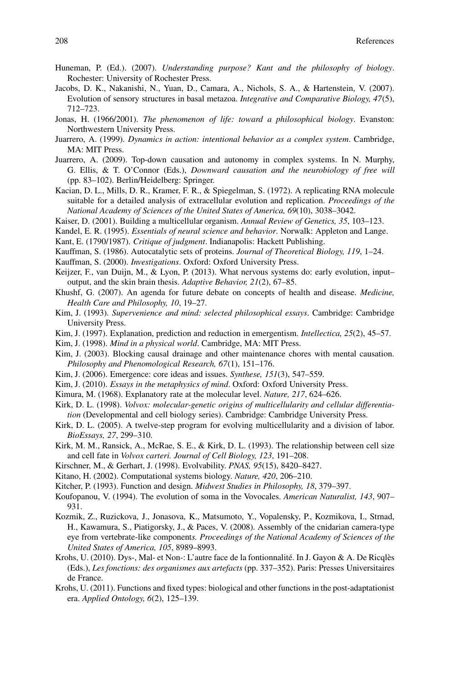- Huneman, P. (Ed.). (2007). *Understanding purpose? Kant and the philosophy of biology*. Rochester: University of Rochester Press.
- Jacobs, D. K., Nakanishi, N., Yuan, D., Camara, A., Nichols, S. A., & Hartenstein, V. (2007). Evolution of sensory structures in basal metazoa. *Integrative and Comparative Biology, 47*(5), 712–723.
- Jonas, H. (1966/2001). *The phenomenon of life: toward a philosophical biology*. Evanston: Northwestern University Press.
- Juarrero, A. (1999). *Dynamics in action: intentional behavior as a complex system*. Cambridge, MA: MIT Press.
- Juarrero, A. (2009). Top-down causation and autonomy in complex systems. In N. Murphy, G. Ellis, & T. O'Connor (Eds.), *Downward causation and the neurobiology of free will* (pp. 83–102). Berlin/Heidelberg: Springer.
- Kacian, D. L., Mills, D. R., Kramer, F. R., & Spiegelman, S. (1972). A replicating RNA molecule suitable for a detailed analysis of extracellular evolution and replication. *Proceedings of the National Academy of Sciences of the United States of America, 69*(10), 3038–3042.
- Kaiser, D. (2001). Building a multicellular organism. *Annual Review of Genetics, 35*, 103–123.
- Kandel, E. R. (1995). *Essentials of neural science and behavior*. Norwalk: Appleton and Lange.

Kant, E. (1790/1987). *Critique of judgment*. Indianapolis: Hackett Publishing.

- Kauffman, S. (1986). Autocatalytic sets of proteins. *Journal of Theoretical Biology, 119*, 1–24.
- Kauffman, S. (2000). *Investigations*. Oxford: Oxford University Press.
- Keijzer, F., van Duijn, M., & Lyon, P. (2013). What nervous systems do: early evolution, input– output, and the skin brain thesis. *Adaptive Behavior, 21*(2), 67–85.
- Khushf, G. (2007). An agenda for future debate on concepts of health and disease. *Medicine, Health Care and Philosophy, 10*, 19–27.
- Kim, J. (1993). *Supervenience and mind: selected philosophical essays*. Cambridge: Cambridge University Press.
- Kim, J. (1997). Explanation, prediction and reduction in emergentism. *Intellectica, 25*(2), 45–57.
- Kim, J. (1998). *Mind in a physical world*. Cambridge, MA: MIT Press.
- Kim, J. (2003). Blocking causal drainage and other maintenance chores with mental causation. *Philosophy and Phenomological Research, 67*(1), 151–176.
- Kim, J. (2006). Emergence: core ideas and issues. *Synthese, 151*(3), 547–559.
- Kim, J. (2010). *Essays in the metaphysics of mind*. Oxford: Oxford University Press.
- Kimura, M. (1968). Explanatory rate at the molecular level. *Nature, 217*, 624–626.
- Kirk, D. L. (1998). *Volvox: molecular-genetic origins of multicellularity and cellular differentiation* (Developmental and cell biology series). Cambridge: Cambridge University Press.
- Kirk, D. L. (2005). A twelve-step program for evolving multicellularity and a division of labor. *BioEssays, 27*, 299–310.
- Kirk, M. M., Ransick, A., McRae, S. E., & Kirk, D. L. (1993). The relationship between cell size and cell fate in *Volvox carteri. Journal of Cell Biology, 123*, 191–208.
- Kirschner, M., & Gerhart, J. (1998). Evolvability. *PNAS, 95*(15), 8420–8427.
- Kitano, H. (2002). Computational systems biology. *Nature, 420*, 206–210.
- Kitcher, P. (1993). Function and design. *Midwest Studies in Philosophy, 18*, 379–397.
- Koufopanou, V. (1994). The evolution of soma in the Vovocales. *American Naturalist, 143*, 907– 931.
- Kozmik, Z., Ruzickova, J., Jonasova, K., Matsumoto, Y., Vopalensky, P., Kozmikova, I., Strnad, H., Kawamura, S., Piatigorsky, J., & Paces, V. (2008). Assembly of the cnidarian camera-type eye from vertebrate-like component*s. Proceedings of the National Academy of Sciences of the United States of America, 105*, 8989–8993.
- Krohs, U. (2010). Dys-, Mal- et Non-: L'autre face de la fontionnalité. In J. Gayon & A. De Ricqlès (Eds.), *Les fonctions: des organismes aux artefacts* (pp. 337–352). Paris: Presses Universitaires de France.
- Krohs, U. (2011). Functions and fixed types: biological and other functions in the post-adaptationist era. *Applied Ontology, 6*(2), 125–139.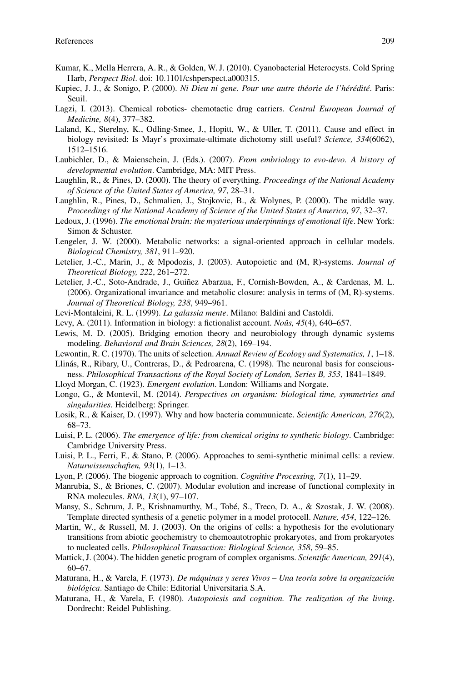- Kumar, K., Mella Herrera, A. R., & Golden, W. J. (2010). Cyanobacterial Heterocysts. Cold Spring Harb, *Perspect Biol*. doi: 10.1101/cshperspect.a000315.
- Kupiec, J. J., & Sonigo, P. (2000). *Ni Dieu ni gene. Pour une autre théorie de l'hérédité*. Paris: Seuil.
- Lagzi, I. (2013). Chemical robotics- chemotactic drug carriers. *Central European Journal of Medicine, 8*(4), 377–382.
- Laland, K., Sterelny, K., Odling-Smee, J., Hopitt, W., & Uller, T. (2011). Cause and effect in biology revisited: Is Mayr's proximate-ultimate dichotomy still useful? *Science, 334*(6062), 1512–1516.
- Laubichler, D., & Maienschein, J. (Eds.). (2007). *From embriology to evo-devo. A history of developmental evolution*. Cambridge, MA: MIT Press.
- Laughlin, R., & Pines, D. (2000). The theory of everything. *Proceedings of the National Academy of Science of the United States of America, 97*, 28–31.
- Laughlin, R., Pines, D., Schmalien, J., Stojkovic, B., & Wolynes, P. (2000). The middle way. *Proceedings of the National Academy of Science of the United States of America, 97*, 32–37.
- Ledoux, J. (1996). *The emotional brain: the mysterious underpinnings of emotional life*. New York: Simon & Schuster.
- Lengeler, J. W. (2000). Metabolic networks: a signal-oriented approach in cellular models. *Biological Chemistry, 381*, 911–920.
- Letelier, J.-C., Marin, J., & Mpodozis, J. (2003). Autopoietic and (M, R)-systems. *Journal of Theoretical Biology, 222*, 261–272.
- Letelier, J.-C., Soto-Andrade, J., Guiñez Abarzua, F., Cornish-Bowden, A., & Cardenas, M. L. (2006). Organizational invariance and metabolic closure: analysis in terms of (M, R)-systems. *Journal of Theoretical Biology, 238*, 949–961.
- Levi-Montalcini, R. L. (1999). *La galassia mente*. Milano: Baldini and Castoldi.
- Levy, A. (2011). Information in biology: a fictionalist account. *Noûs, 45*(4), 640–657.
- Lewis, M. D. (2005). Bridging emotion theory and neurobiology through dynamic systems modeling. *Behavioral and Brain Sciences, 28*(2), 169–194.
- Lewontin, R. C. (1970). The units of selection. *Annual Review of Ecology and Systematics, 1*, 1–18.
- Llinás, R., Ribary, U., Contreras, D., & Pedroarena, C. (1998). The neuronal basis for consciousness. *Philosophical Transactions of the Royal Society of London, Series B, 353*, 1841–1849.
- Lloyd Morgan, C. (1923). *Emergent evolution*. London: Williams and Norgate.
- Longo, G., & Montevil, M. (2014). *Perspectives on organism: biological time, symmetries and singularities*. Heidelberg: Springer.
- Losik, R., & Kaiser, D. (1997). Why and how bacteria communicate. *Scientific American, 276*(2), 68–73.
- Luisi, P. L. (2006). *The emergence of life: from chemical origins to synthetic biology*. Cambridge: Cambridge University Press.
- Luisi, P. L., Ferri, F., & Stano, P. (2006). Approaches to semi-synthetic minimal cells: a review. *Naturwissenschaften, 93*(1), 1–13.
- Lyon, P. (2006). The biogenic approach to cognition. *Cognitive Processing, 7*(1), 11–29.
- Manrubia, S., & Briones, C. (2007). Modular evolution and increase of functional complexity in RNA molecules. *RNA, 13*(1), 97–107.
- Mansy, S., Schrum, J. P., Krishnamurthy, M., Tobé, S., Treco, D. A., & Szostak, J. W. (2008). Template directed synthesis of a genetic polymer in a model protocell. *Nature, 454*, 122–126.
- Martin, W., & Russell, M. J. (2003). On the origins of cells: a hypothesis for the evolutionary transitions from abiotic geochemistry to chemoautotrophic prokaryotes, and from prokaryotes to nucleated cells. *Philosophical Transaction: Biological Science, 358*, 59–85.
- Mattick, J. (2004). The hidden genetic program of complex organisms. *Scientific American, 291*(4), 60–67.
- Maturana, H., & Varela, F. (1973). *De máquinas y seres Vivos Una teoría sobre la organización biológica*. Santiago de Chile: Editorial Universitaria S.A.
- Maturana, H., & Varela, F. (1980). *Autopoiesis and cognition. The realization of the living*. Dordrecht: Reidel Publishing.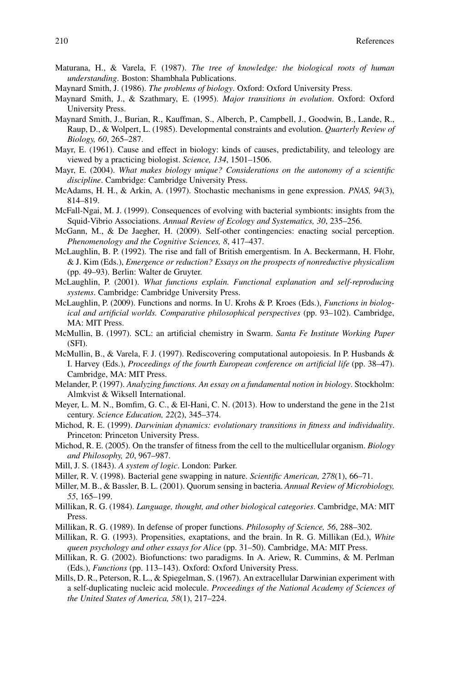- Maturana, H., & Varela, F. (1987). *The tree of knowledge: the biological roots of human understanding*. Boston: Shambhala Publications.
- Maynard Smith, J. (1986). *The problems of biology*. Oxford: Oxford University Press.
- Maynard Smith, J., & Szathmary, E. (1995). *Major transitions in evolution*. Oxford: Oxford University Press.
- Maynard Smith, J., Burian, R., Kauffman, S., Alberch, P., Campbell, J., Goodwin, B., Lande, R., Raup, D., & Wolpert, L. (1985). Developmental constraints and evolution. *Quarterly Review of Biology, 60*, 265–287.
- Mayr, E. (1961). Cause and effect in biology: kinds of causes, predictability, and teleology are viewed by a practicing biologist. *Science, 134*, 1501–1506.
- Mayr, E. (2004). *What makes biology unique? Considerations on the autonomy of a scientific discipline*. Cambridge: Cambridge University Press.
- McAdams, H. H., & Arkin, A. (1997). Stochastic mechanisms in gene expression. *PNAS, 94*(3), 814–819.
- McFall-Ngai, M. J. (1999). Consequences of evolving with bacterial symbionts: insights from the Squid-Vibrio Associations. *Annual Review of Ecology and Systematics, 30*, 235–256.
- McGann, M., & De Jaegher, H. (2009). Self-other contingencies: enacting social perception. *Phenomenology and the Cognitive Sciences, 8*, 417–437.
- McLaughlin, B. P. (1992). The rise and fall of British emergentism. In A. Beckermann, H. Flohr, & J. Kim (Eds.), *Emergence or reduction? Essays on the prospects of nonreductive physicalism* (pp. 49–93). Berlin: Walter de Gruyter.
- McLaughlin, P. (2001). *What functions explain. Functional explanation and self-reproducing systems*. Cambridge: Cambridge University Press.
- McLaughlin, P. (2009). Functions and norms. In U. Krohs & P. Kroes (Eds.), *Functions in biological and artificial worlds. Comparative philosophical perspectives* (pp. 93–102). Cambridge, MA: MIT Press.
- McMullin, B. (1997). SCL: an artificial chemistry in Swarm. *Santa Fe Institute Working Paper* (SFI).
- McMullin, B., & Varela, F. J. (1997). Rediscovering computational autopoiesis. In P. Husbands & I. Harvey (Eds.), *Proceedings of the fourth European conference on artificial life* (pp. 38–47). Cambridge, MA: MIT Press.
- Melander, P. (1997). *Analyzing functions. An essay on a fundamental notion in biology*. Stockholm: Almkvist & Wiksell International.
- Meyer, L. M. N., Bomfim, G. C., & El-Hani, C. N. (2013). How to understand the gene in the 21st century. *Science Education, 22*(2), 345–374.
- Michod, R. E. (1999). *Darwinian dynamics: evolutionary transitions in fitness and individuality*. Princeton: Princeton University Press.
- Michod, R. E. (2005). On the transfer of fitness from the cell to the multicellular organism. *Biology and Philosophy, 20*, 967–987.
- Mill, J. S. (1843). *A system of logic*. London: Parker.
- Miller, R. V. (1998). Bacterial gene swapping in nature. *Scientific American, 278*(1), 66–71.
- Miller, M. B., & Bassler, B. L. (2001). Quorum sensing in bacteria. *Annual Review of Microbiology, 55*, 165–199.
- Millikan, R. G. (1984). *Language, thought, and other biological categories*. Cambridge, MA: MIT Press.
- Millikan, R. G. (1989). In defense of proper functions. *Philosophy of Science, 56*, 288–302.
- Millikan, R. G. (1993). Propensities, exaptations, and the brain. In R. G. Millikan (Ed.), *White queen psychology and other essays for Alice* (pp. 31–50). Cambridge, MA: MIT Press.
- Millikan, R. G. (2002). Biofunctions: two paradigms. In A. Ariew, R. Cummins, & M. Perlman (Eds.), *Functions* (pp. 113–143). Oxford: Oxford University Press.
- Mills, D. R., Peterson, R. L., & Spiegelman, S. (1967). An extracellular Darwinian experiment with a self-duplicating nucleic acid molecule. *Proceedings of the National Academy of Sciences of the United States of America, 58*(1), 217–224.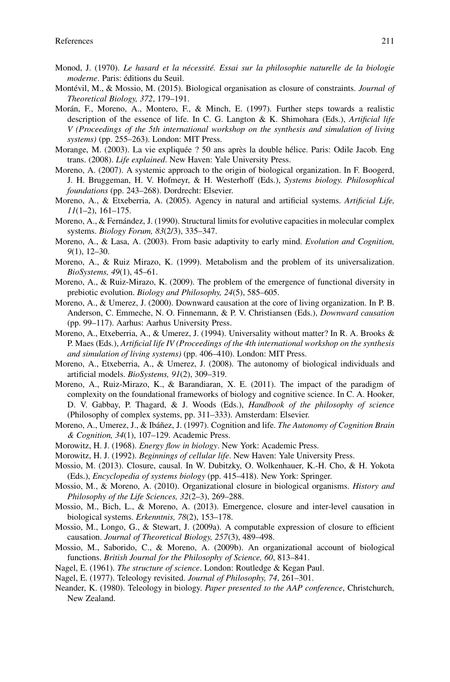- Monod, J. (1970). *Le hasard et la nécessité. Essai sur la philosophie naturelle de la biologie moderne*. Paris: éditions du Seuil.
- Montévil, M., & Mossio, M. (2015). Biological organisation as closure of constraints. *Journal of Theoretical Biology, 372*, 179–191.
- Morán, F., Moreno, A., Montero, F., & Minch, E. (1997). Further steps towards a realistic description of the essence of life. In C. G. Langton & K. Shimohara (Eds.), *Artificial life V (Proceedings of the 5th international workshop on the synthesis and simulation of living systems)* (pp. 255–263). London: MIT Press.
- Morange, M. (2003). La vie expliquée ? 50 ans après la double hélice. Paris: Odile Jacob. Eng trans. (2008). *Life explained*. New Haven: Yale University Press.
- Moreno, A. (2007). A systemic approach to the origin of biological organization. In F. Boogerd, J. H. Bruggeman, H. V. Hofmeyr, & H. Westerhoff (Eds.), *Systems biology. Philosophical foundations* (pp. 243–268). Dordrecht: Elsevier.
- Moreno, A., & Etxeberria, A. (2005). Agency in natural and artificial systems. *Artificial Life, 11*(1–2), 161–175.
- Moreno, A., & Fernández, J. (1990). Structural limits for evolutive capacities in molecular complex systems. *Biology Forum, 83*(2/3), 335–347.
- Moreno, A., & Lasa, A. (2003). From basic adaptivity to early mind. *Evolution and Cognition, 9*(1), 12–30.
- Moreno, A., & Ruiz Mirazo, K. (1999). Metabolism and the problem of its universalization. *BioSystems, 49*(1), 45–61.
- Moreno, A., & Ruiz-Mirazo, K. (2009). The problem of the emergence of functional diversity in prebiotic evolution. *Biology and Philosophy, 24*(5), 585–605.
- Moreno, A., & Umerez, J. (2000). Downward causation at the core of living organization. In P. B. Anderson, C. Emmeche, N. O. Finnemann, & P. V. Christiansen (Eds.), *Downward causation* (pp. 99–117). Aarhus: Aarhus University Press.
- Moreno, A., Etxeberria, A., & Umerez, J. (1994). Universality without matter? In R. A. Brooks & P. Maes (Eds.), *Artificial life IV (Proceedings of the 4th international workshop on the synthesis and simulation of living systems)* (pp. 406–410). London: MIT Press.
- Moreno, A., Etxeberria, A., & Umerez, J. (2008). The autonomy of biological individuals and artificial models. *BioSystems, 91*(2), 309–319.
- Moreno, A., Ruiz-Mirazo, K., & Barandiaran, X. E. (2011). The impact of the paradigm of complexity on the foundational frameworks of biology and cognitive science. In C. A. Hooker, D. V. Gabbay, P. Thagard, & J. Woods (Eds.), *Handbook of the philosophy of science* (Philosophy of complex systems, pp. 311–333). Amsterdam: Elsevier.
- Moreno, A., Umerez, J., & Ibáñez, J. (1997). Cognition and life. *The Autonomy of Cognition Brain & Cognition, 34*(1), 107–129. Academic Press.
- Morowitz, H. J. (1968). *Energy flow in biology*. New York: Academic Press.
- Morowitz, H. J. (1992). *Beginnings of cellular life*. New Haven: Yale University Press.
- Mossio, M. (2013). Closure, causal. In W. Dubitzky, O. Wolkenhauer, K.-H. Cho, & H. Yokota (Eds.), *Encyclopedia of systems biology* (pp. 415–418). New York: Springer.
- Mossio, M., & Moreno, A. (2010). Organizational closure in biological organisms. *History and Philosophy of the Life Sciences, 32*(2–3), 269–288.
- Mossio, M., Bich, L., & Moreno, A. (2013). Emergence, closure and inter-level causation in biological systems. *Erkenntnis, 78*(2), 153–178.
- Mossio, M., Longo, G., & Stewart, J. (2009a). A computable expression of closure to efficient causation. *Journal of Theoretical Biology, 257*(3), 489–498.
- Mossio, M., Saborido, C., & Moreno, A. (2009b). An organizational account of biological functions. *British Journal for the Philosophy of Science, 60*, 813–841.
- Nagel, E. (1961). *The structure of science*. London: Routledge & Kegan Paul.
- Nagel, E. (1977). Teleology revisited. *Journal of Philosophy, 74*, 261–301.
- Neander, K. (1980). Teleology in biology. *Paper presented to the AAP conference*, Christchurch, New Zealand.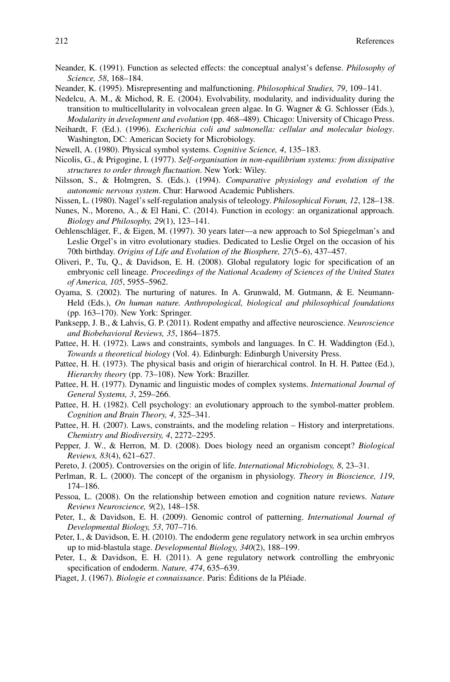- Neander, K. (1991). Function as selected effects: the conceptual analyst's defense. *Philosophy of Science, 58*, 168–184.
- Neander, K. (1995). Misrepresenting and malfunctioning. *Philosophical Studies, 79*, 109–141.
- Nedelcu, A. M., & Michod, R. E. (2004). Evolvability, modularity, and individuality during the transition to multicellularity in volvocalean green algae. In G. Wagner & G. Schlosser (Eds.), *Modularity in development and evolution* (pp. 468–489). Chicago: University of Chicago Press.
- Neihardt, F. (Ed.). (1996). *Escherichia coli and salmonella: cellular and molecular biology*. Washington, DC: American Society for Microbiology.
- Newell, A. (1980). Physical symbol systems. *Cognitive Science, 4*, 135–183.
- Nicolis, G., & Prigogine, I. (1977). *Self-organisation in non-equilibrium systems: from dissipative structures to order through fluctuation*. New York: Wiley.
- Nilsson, S., & Holmgren, S. (Eds.). (1994). *Comparative physiology and evolution of the autonomic nervous system*. Chur: Harwood Academic Publishers.
- Nissen, L. (1980). Nagel's self-regulation analysis of teleology. *Philosophical Forum, 12*, 128–138.
- Nunes, N., Moreno, A., & El Hani, C. (2014). Function in ecology: an organizational approach. *Biology and Philosophy, 29*(1), 123–141.
- Oehlenschläger, F., & Eigen, M. (1997). 30 years later—a new approach to Sol Spiegelman's and Leslie Orgel's in vitro evolutionary studies. Dedicated to Leslie Orgel on the occasion of his 70th birthday. *Origins of Life and Evolution of the Biosphere, 27*(5–6), 437–457.
- Oliveri, P., Tu, Q., & Davidson, E. H. (2008). Global regulatory logic for specification of an embryonic cell lineage. *Proceedings of the National Academy of Sciences of the United States of America, 105*, 5955–5962.
- Oyama, S. (2002). The nurturing of natures. In A. Grunwald, M. Gutmann, & E. Neumann-Held (Eds.), *On human nature. Anthropological, biological and philosophical foundations* (pp. 163–170). New York: Springer.
- Panksepp, J. B., & Lahvis, G. P. (2011). Rodent empathy and affective neuroscience. *Neuroscience and Biobehavioral Reviews, 35*, 1864–1875.
- Pattee, H. H. (1972). Laws and constraints, symbols and languages. In C. H. Waddington (Ed.), *Towards a theoretical biology* (Vol. 4). Edinburgh: Edinburgh University Press.
- Pattee, H. H. (1973). The physical basis and origin of hierarchical control. In H. H. Pattee (Ed.), *Hierarchy theory* (pp. 73–108). New York: Braziller.
- Pattee, H. H. (1977). Dynamic and linguistic modes of complex systems. *International Journal of General Systems, 3*, 259–266.
- Pattee, H. H. (1982). Cell psychology: an evolutionary approach to the symbol-matter problem. *Cognition and Brain Theory, 4*, 325–341.
- Pattee, H. H. (2007). Laws, constraints, and the modeling relation History and interpretations. *Chemistry and Biodiversity, 4*, 2272–2295.
- Pepper, J. W., & Herron, M. D. (2008). Does biology need an organism concept? *Biological Reviews, 83*(4), 621–627.
- Pereto, J. (2005). Controversies on the origin of life. *International Microbiology, 8*, 23–31.
- Perlman, R. L. (2000). The concept of the organism in physiology. *Theory in Bioscience, 119*, 174–186.
- Pessoa, L. (2008). On the relationship between emotion and cognition nature reviews. *Nature Reviews Neuroscience, 9*(2), 148–158.
- Peter, I., & Davidson, E. H. (2009). Genomic control of patterning. *International Journal of Developmental Biology, 53*, 707–716.
- Peter, I., & Davidson, E. H. (2010). The endoderm gene regulatory network in sea urchin embryos up to mid-blastula stage. *Developmental Biology, 340*(2), 188–199.
- Peter, I., & Davidson, E. H. (2011). A gene regulatory network controlling the embryonic specification of endoderm. *Nature, 474*, 635–639.
- Piaget, J. (1967). *Biologie et connaissance*. Paris: Éditions de la Pléiade.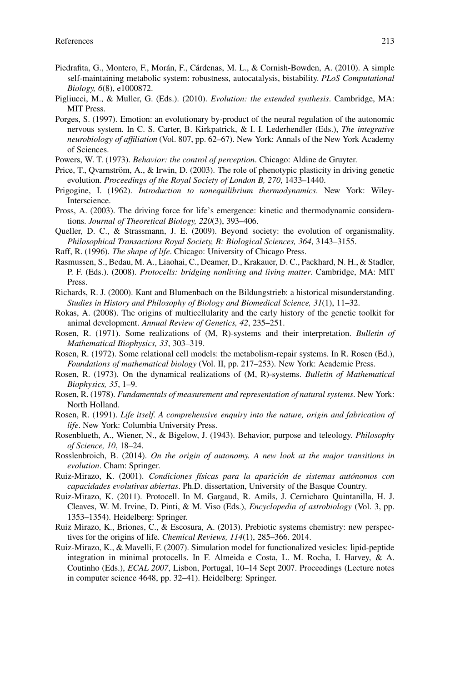- Piedrafita, G., Montero, F., Morán, F., Cárdenas, M. L., & Cornish-Bowden, A. (2010). A simple self-maintaining metabolic system: robustness, autocatalysis, bistability. *PLoS Computational Biology, 6*(8), e1000872.
- Pigliucci, M., & Muller, G. (Eds.). (2010). *Evolution: the extended synthesis*. Cambridge, MA: MIT Press.
- Porges, S. (1997). Emotion: an evolutionary by-product of the neural regulation of the autonomic nervous system. In C. S. Carter, B. Kirkpatrick, & I. I. Lederhendler (Eds.), *The integrative neurobiology of affiliation* (Vol. 807, pp. 62–67). New York: Annals of the New York Academy of Sciences.
- Powers, W. T. (1973). *Behavior: the control of perception*. Chicago: Aldine de Gruyter.
- Price, T., Qvarnström, A., & Irwin, D. (2003). The role of phenotypic plasticity in driving genetic evolution. *Proceedings of the Royal Society of London B, 270*, 1433–1440.
- Prigogine, I. (1962). *Introduction to nonequilibrium thermodynamics*. New York: Wiley-Interscience.
- Pross, A. (2003). The driving force for life's emergence: kinetic and thermodynamic considerations. *Journal of Theoretical Biology, 220*(3), 393–406.
- Queller, D. C., & Strassmann, J. E. (2009). Beyond society: the evolution of organismality. *Philosophical Transactions Royal Society, B: Biological Sciences, 364*, 3143–3155.
- Raff, R. (1996). *The shape of life*. Chicago: University of Chicago Press.
- Rasmussen, S., Bedau, M. A., Liaohai, C., Deamer, D., Krakauer, D. C., Packhard, N. H., & Stadler, P. F. (Eds.). (2008). *Protocells: bridging nonliving and living matter*. Cambridge, MA: MIT Press.
- Richards, R. J. (2000). Kant and Blumenbach on the Bildungstrieb: a historical misunderstanding. *Studies in History and Philosophy of Biology and Biomedical Science, 31*(1), 11–32.
- Rokas, A. (2008). The origins of multicellularity and the early history of the genetic toolkit for animal development. *Annual Review of Genetics, 42*, 235–251.
- Rosen, R. (1971). Some realizations of (M, R)-systems and their interpretation. *Bulletin of Mathematical Biophysics, 33*, 303–319.
- Rosen, R. (1972). Some relational cell models: the metabolism-repair systems. In R. Rosen (Ed.), *Foundations of mathematical biology* (Vol. II, pp. 217–253). New York: Academic Press.
- Rosen, R. (1973). On the dynamical realizations of (M, R)-systems. *Bulletin of Mathematical Biophysics, 35*, 1–9.
- Rosen, R. (1978). *Fundamentals of measurement and representation of natural systems*. New York: North Holland.
- Rosen, R. (1991). *Life itself. A comprehensive enquiry into the nature, origin and fabrication of life*. New York: Columbia University Press.
- Rosenblueth, A., Wiener, N., & Bigelow, J. (1943). Behavior, purpose and teleology. *Philosophy of Science, 10*, 18–24.
- Rosslenbroich, B. (2014). *On the origin of autonomy. A new look at the major transitions in evolution*. Cham: Springer.
- Ruiz-Mirazo, K. (2001). *Condiciones físicas para la aparición de sistemas autónomos con capacidades evolutivas abiertas*. Ph.D. dissertation, University of the Basque Country.
- Ruiz-Mirazo, K. (2011). Protocell. In M. Gargaud, R. Amils, J. Cernicharo Quintanilla, H. J. Cleaves, W. M. Irvine, D. Pinti, & M. Viso (Eds.), *Encyclopedia of astrobiology* (Vol. 3, pp. 1353–1354). Heidelberg: Springer.
- Ruiz Mirazo, K., Briones, C., & Escosura, A. (2013). Prebiotic systems chemistry: new perspectives for the origins of life. *Chemical Reviews, 114*(1), 285–366. 2014.
- Ruiz-Mirazo, K., & Mavelli, F. (2007). Simulation model for functionalized vesicles: lipid-peptide integration in minimal protocells. In F. Almeida e Costa, L. M. Rocha, I. Harvey, & A. Coutinho (Eds.), *ECAL 2007*, Lisbon, Portugal, 10–14 Sept 2007. Proceedings (Lecture notes in computer science 4648, pp. 32–41). Heidelberg: Springer.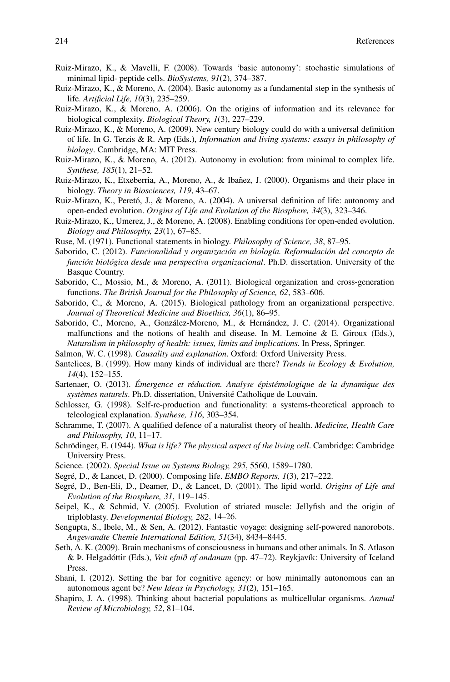- Ruiz-Mirazo, K., & Mavelli, F. (2008). Towards 'basic autonomy': stochastic simulations of minimal lipid- peptide cells. *BioSystems, 91*(2), 374–387.
- Ruiz-Mirazo, K., & Moreno, A. (2004). Basic autonomy as a fundamental step in the synthesis of life. *Artificial Life, 10*(3), 235–259.
- Ruiz-Mirazo, K., & Moreno, A. (2006). On the origins of information and its relevance for biological complexity. *Biological Theory, 1*(3), 227–229.
- Ruiz-Mirazo, K., & Moreno, A. (2009). New century biology could do with a universal definition of life. In G. Terzis & R. Arp (Eds.), *Information and living systems: essays in philosophy of biology*. Cambridge, MA: MIT Press.
- Ruiz-Mirazo, K., & Moreno, A. (2012). Autonomy in evolution: from minimal to complex life. *Synthese, 185*(1), 21–52.
- Ruiz-Mirazo, K., Etxeberria, A., Moreno, A., & Ibañez, J. (2000). Organisms and their place in biology. *Theory in Biosciences, 119*, 43–67.
- Ruiz-Mirazo, K., Peretó, J., & Moreno, A. (2004). A universal definition of life: autonomy and open-ended evolution. *Origins of Life and Evolution of the Biosphere, 34*(3), 323–346.
- Ruiz-Mirazo, K., Umerez, J., & Moreno, A. (2008). Enabling conditions for open-ended evolution. *Biology and Philosophy, 23*(1), 67–85.
- Ruse, M. (1971). Functional statements in biology. *Philosophy of Science, 38*, 87–95.
- Saborido, C. (2012). *Funcionalidad y organización en biología. Reformulación del concepto de función biológica desde una perspectiva organizacional*. Ph.D. dissertation. University of the Basque Country.
- Saborido, C., Mossio, M., & Moreno, A. (2011). Biological organization and cross-generation functions. *The British Journal for the Philosophy of Science, 62*, 583–606.
- Saborido, C., & Moreno, A. (2015). Biological pathology from an organizational perspective. *Journal of Theoretical Medicine and Bioethics, 36*(1), 86–95.
- Saborido, C., Moreno, A., González-Moreno, M., & Hernández, J. C. (2014). Organizational malfunctions and the notions of health and disease. In M. Lemoine & E. Giroux (Eds.), *Naturalism in philosophy of health: issues, limits and implications.* In Press, Springer.
- Salmon, W. C. (1998). *Causality and explanation*. Oxford: Oxford University Press.
- Santelices, B. (1999). How many kinds of individual are there? *Trends in Ecology & Evolution, 14*(4), 152–155.
- Sartenaer, O. (2013). *Émergence et réduction. Analyse épistémologique de la dynamique des systèmes naturels*. Ph.D. dissertation, Université Catholique de Louvain.
- Schlosser, G. (1998). Self-re-production and functionality: a systems-theoretical approach to teleological explanation. *Synthese, 116*, 303–354.
- Schramme, T. (2007). A qualified defence of a naturalist theory of health. *Medicine, Health Care and Philosophy, 10*, 11–17.
- Schrödinger, E. (1944). *What is life? The physical aspect of the living cell*. Cambridge: Cambridge University Press.
- Science. (2002). *Special Issue on Systems Biology, 295*, 5560, 1589–1780.
- Segré, D., & Lancet, D. (2000). Composing life. *EMBO Reports, 1*(3), 217–222.
- Segré, D., Ben-Eli, D., Deamer, D., & Lancet, D. (2001). The lipid world. *Origins of Life and Evolution of the Biosphere, 31*, 119–145.
- Seipel, K., & Schmid, V. (2005). Evolution of striated muscle: Jellyfish and the origin of triploblasty. *Developmental Biology, 282*, 14–26.
- Sengupta, S., Ibele, M., & Sen, A. (2012). Fantastic voyage: designing self-powered nanorobots. *Angewandte Chemie International Edition, 51*(34), 8434–8445.
- Seth, A. K. (2009). Brain mechanisms of consciousness in humans and other animals. In S. Atlason & Þ. Helgadóttir (Eds.), *Veit efnið af andanum* (pp. 47–72). Reykjavík: University of Iceland Press.
- Shani, I. (2012). Setting the bar for cognitive agency: or how minimally autonomous can an autonomous agent be? *New Ideas in Psychology, 31*(2), 151–165.
- Shapiro, J. A. (1998). Thinking about bacterial populations as multicellular organisms. *Annual Review of Microbiology, 52*, 81–104.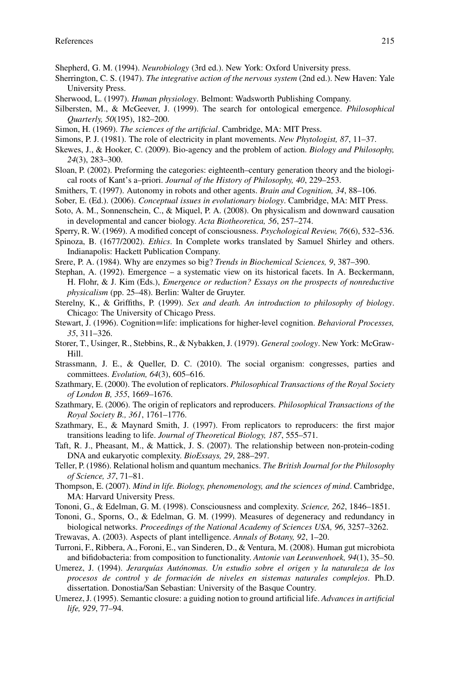- Shepherd, G. M. (1994). *Neurobiology* (3rd ed.). New York: Oxford University press.
- Sherrington, C. S. (1947). *The integrative action of the nervous system* (2nd ed.). New Haven: Yale University Press.
- Sherwood, L. (1997). *Human physiology*. Belmont: Wadsworth Publishing Company.
- Silbersten, M., & McGeever, J. (1999). The search for ontological emergence. *Philosophical Quarterly, 50*(195), 182–200.
- Simon, H. (1969). *The sciences of the artificial*. Cambridge, MA: MIT Press.
- Simons, P. J. (1981). The role of electricity in plant movements. *New Phytologist, 87*, 11–37.
- Skewes, J., & Hooker, C. (2009). Bio-agency and the problem of action. *Biology and Philosophy, 24*(3), 283–300.
- Sloan, P. (2002). Preforming the categories: eighteenth–century generation theory and the biological roots of Kant's a–priori. *Journal of the History of Philosophy, 40*, 229–253.
- Smithers, T. (1997). Autonomy in robots and other agents. *Brain and Cognition, 34*, 88–106.
- Sober, E. (Ed.). (2006). *Conceptual issues in evolutionary biology*. Cambridge, MA: MIT Press.
- Soto, A. M., Sonnenschein, C., & Miquel, P. A. (2008). On physicalism and downward causation in developmental and cancer biology. *Acta Biotheoretica, 56*, 257–274.
- Sperry, R. W. (1969). A modified concept of consciousness. *Psychological Review, 76*(6), 532–536.
- Spinoza, B. (1677/2002). *Ethics*. In Complete works translated by Samuel Shirley and others. Indianapolis: Hackett Publication Company.
- Srere, P. A. (1984). Why are enzymes so big? *Trends in Biochemical Sciences, 9*, 387–390.
- Stephan, A. (1992). Emergence a systematic view on its historical facets. In A. Beckermann, H. Flohr, & J. Kim (Eds.), *Emergence or reduction? Essays on the prospects of nonreductive physicalism* (pp. 25–48). Berlin: Walter de Gruyter.
- Sterelny, K., & Griffiths, P. (1999). *Sex and death. An introduction to philosophy of biology*. Chicago: The University of Chicago Press.
- Stewart, J. (1996). Cognition=life: implications for higher-level cognition. *Behavioral Processes*, *35*, 311–326.
- Storer, T., Usinger, R., Stebbins, R., & Nybakken, J. (1979). *General zoology*. New York: McGraw-Hill.
- Strassmann, J. E., & Queller, D. C. (2010). The social organism: congresses, parties and committees. *Evolution, 64*(3), 605–616.
- Szathmary, E. (2000). The evolution of replicators. *Philosophical Transactions of the Royal Society of London B, 355*, 1669–1676.
- Szathmary, E. (2006). The origin of replicators and reproducers. *Philosophical Transactions of the Royal Society B., 361*, 1761–1776.
- Szathmary, E., & Maynard Smith, J. (1997). From replicators to reproducers: the first major transitions leading to life. *Journal of Theoretical Biology, 187*, 555–571.
- Taft, R. J., Pheasant, M., & Mattick, J. S. (2007). The relationship between non-protein-coding DNA and eukaryotic complexity. *BioEssays, 29*, 288–297.
- Teller, P. (1986). Relational holism and quantum mechanics. *The British Journal for the Philosophy of Science, 37*, 71–81.
- Thompson, E. (2007). *Mind in life. Biology, phenomenology, and the sciences of mind*. Cambridge, MA: Harvard University Press.
- Tononi, G., & Edelman, G. M. (1998). Consciousness and complexity. *Science, 262*, 1846–1851.
- Tononi, G., Sporns, O., & Edelman, G. M. (1999). Measures of degeneracy and redundancy in biological networks. *Proceedings of the National Academy of Sciences USA, 96*, 3257–3262.
- Trewavas, A. (2003). Aspects of plant intelligence. *Annals of Botany, 92*, 1–20.
- Turroni, F., Ribbera, A., Foroni, E., van Sinderen, D., & Ventura, M. (2008). Human gut microbiota and bifidobacteria: from composition to functionality. *Antonie van Leeuwenhoek, 94*(1), 35–50.
- Umerez, J. (1994). *Jerarquías Autónomas. Un estudio sobre el origen y la naturaleza de los procesos de control y de formación de niveles en sistemas naturales complejos*. Ph.D. dissertation. Donostia/San Sebastian: University of the Basque Country.
- Umerez, J. (1995). Semantic closure: a guiding notion to ground artificial life. *Advances in artificial life, 929*, 77–94.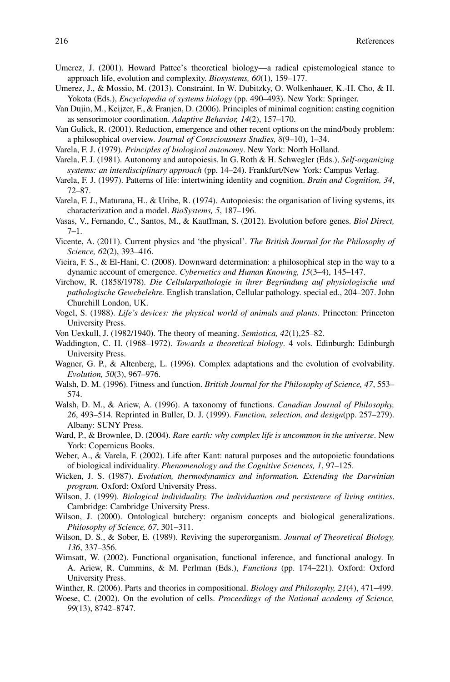- Umerez, J. (2001). Howard Pattee's theoretical biology—a radical epistemological stance to approach life, evolution and complexity. *Biosystems, 60*(1), 159–177.
- Umerez, J., & Mossio, M. (2013). Constraint. In W. Dubitzky, O. Wolkenhauer, K.-H. Cho, & H. Yokota (Eds.), *Encyclopedia of systems biology* (pp. 490–493). New York: Springer.
- Van Dujin, M., Keijzer, F., & Franjen, D. (2006). Principles of minimal cognition: casting cognition as sensorimotor coordination. *Adaptive Behavior, 14*(2), 157–170.
- Van Gulick, R. (2001). Reduction, emergence and other recent options on the mind/body problem: a philosophical overview. *Journal of Consciousness Studies, 8*(9–10), 1–34.
- Varela, F. J. (1979). *Principles of biological autonomy*. New York: North Holland.
- Varela, F. J. (1981). Autonomy and autopoiesis. In G. Roth & H. Schwegler (Eds.), *Self-organizing systems: an interdisciplinary approach* (pp. 14–24). Frankfurt/New York: Campus Verlag.
- Varela, F. J. (1997). Patterns of life: intertwining identity and cognition. *Brain and Cognition, 34*, 72–87.
- Varela, F. J., Maturana, H., & Uribe, R. (1974). Autopoiesis: the organisation of living systems, its characterization and a model. *BioSystems, 5*, 187–196.
- Vasas, V., Fernando, C., Santos, M., & Kauffman, S. (2012). Evolution before genes. *Biol Direct,*  $7-1$ .
- Vicente, A. (2011). Current physics and 'the physical'. *The British Journal for the Philosophy of Science, 62*(2), 393–416.
- Vieira, F. S., & El-Hani, C. (2008). Downward determination: a philosophical step in the way to a dynamic account of emergence. *Cybernetics and Human Knowing, 15*(3–4), 145–147.
- Virchow, R. (1858/1978). *Die Cellularpathologie in ihrer Begründung auf physiologische und pathologische Gewebelehre.* English translation, Cellular pathology. special ed., 204–207. John Churchill London, UK.
- Vogel, S. (1988). *Life's devices: the physical world of animals and plants*. Princeton: Princeton University Press.
- Von Uexkull, J. (1982/1940). The theory of meaning. *Semiotica, 42*(1),25–82.
- Waddington, C. H. (1968–1972). *Towards a theoretical biology*. 4 vols. Edinburgh: Edinburgh University Press.
- Wagner, G. P., & Altenberg, L. (1996). Complex adaptations and the evolution of evolvability. *Evolution, 50*(3), 967–976.
- Walsh, D. M. (1996). Fitness and function. *British Journal for the Philosophy of Science, 47*, 553– 574.
- Walsh, D. M., & Ariew, A. (1996). A taxonomy of functions. *Canadian Journal of Philosophy, 26*, 493–514. Reprinted in Buller, D. J. (1999). *Function, selection, and design*(pp. 257–279). Albany: SUNY Press.
- Ward, P., & Brownlee, D. (2004). *Rare earth: why complex life is uncommon in the universe*. New York: Copernicus Books.
- Weber, A., & Varela, F. (2002). Life after Kant: natural purposes and the autopoietic foundations of biological individuality. *Phenomenology and the Cognitive Sciences, 1*, 97–125.
- Wicken, J. S. (1987). *Evolution, thermodynamics and information. Extending the Darwinian program*. Oxford: Oxford University Press.
- Wilson, J. (1999). *Biological individuality. The individuation and persistence of living entities*. Cambridge: Cambridge University Press.
- Wilson, J. (2000). Ontological butchery: organism concepts and biological generalizations. *Philosophy of Science, 67*, 301–311.
- Wilson, D. S., & Sober, E. (1989). Reviving the superorganism. *Journal of Theoretical Biology, 136*, 337–356.
- Wimsatt, W. (2002). Functional organisation, functional inference, and functional analogy. In A. Ariew, R. Cummins, & M. Perlman (Eds.), *Functions* (pp. 174–221). Oxford: Oxford University Press.
- Winther, R. (2006). Parts and theories in compositional. *Biology and Philosophy, 21*(4), 471–499.
- Woese, C. (2002). On the evolution of cells. *Proceedings of the National academy of Science, 99*(13), 8742–8747.